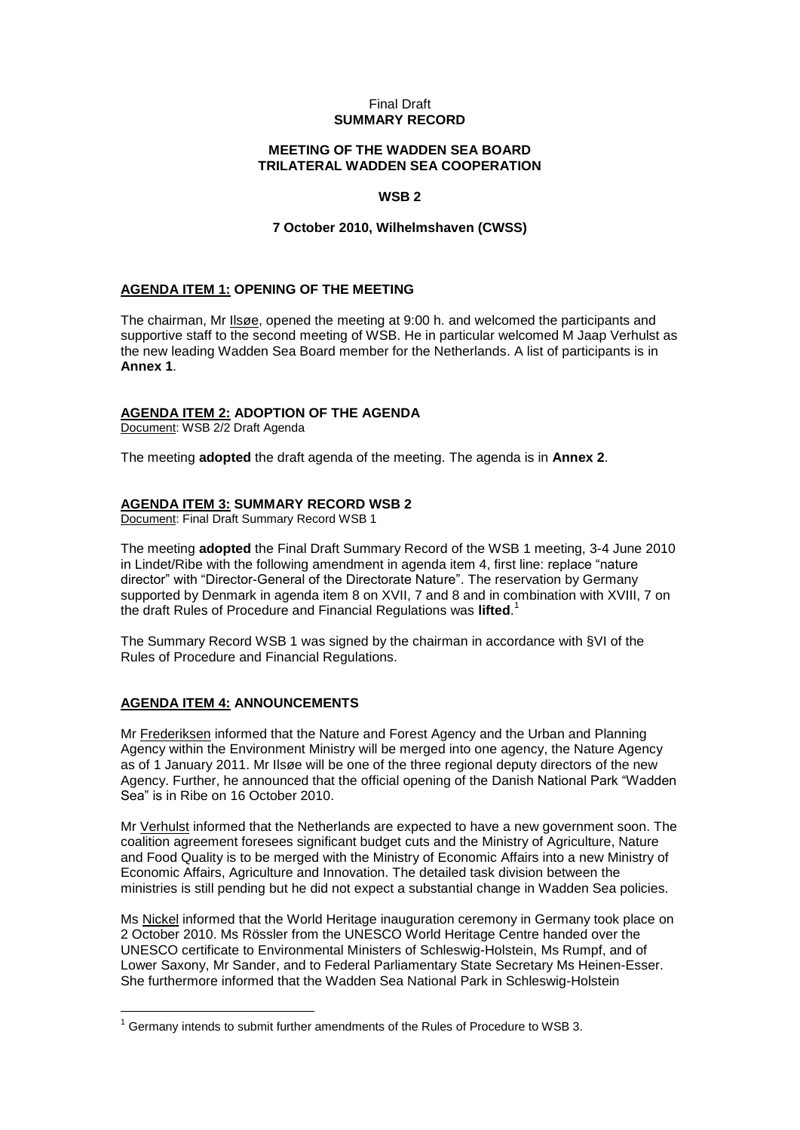#### Final Draft **SUMMARY RECORD**

### **MEETING OF THE WADDEN SEA BOARD TRILATERAL WADDEN SEA COOPERATION**

### **WSB 2**

### **7 October 2010, Wilhelmshaven (CWSS)**

### **AGENDA ITEM 1: OPENING OF THE MEETING**

The chairman, Mr Ilsøe, opened the meeting at 9:00 h. and welcomed the participants and supportive staff to the second meeting of WSB. He in particular welcomed M Jaap Verhulst as the new leading Wadden Sea Board member for the Netherlands. A list of participants is in **Annex 1**.

## **AGENDA ITEM 2: ADOPTION OF THE AGENDA**

Document: WSB 2/2 Draft Agenda

The meeting **adopted** the draft agenda of the meeting. The agenda is in **Annex 2**.

#### **AGENDA ITEM 3: SUMMARY RECORD WSB 2**

Document: Final Draft Summary Record WSB 1

The meeting **adopted** the Final Draft Summary Record of the WSB 1 meeting, 3-4 June 2010 in Lindet/Ribe with the following amendment in agenda item 4, first line: replace "nature director" with "Director-General of the Directorate Nature". The reservation by Germany supported by Denmark in agenda item 8 on XVII, 7 and 8 and in combination with XVIII, 7 on the draft Rules of Procedure and Financial Regulations was **lifted**. 1

The Summary Record WSB 1 was signed by the chairman in accordance with §VI of the Rules of Procedure and Financial Regulations.

#### **AGENDA ITEM 4: ANNOUNCEMENTS**

 $\overline{a}$ 

Mr Frederiksen informed that the Nature and Forest Agency and the Urban and Planning Agency within the Environment Ministry will be merged into one agency, the Nature Agency as of 1 January 2011. Mr Ilsøe will be one of the three regional deputy directors of the new Agency. Further, he announced that the official opening of the Danish National Park "Wadden Sea" is in Ribe on 16 October 2010.

Mr Verhulst informed that the Netherlands are expected to have a new government soon. The coalition agreement foresees significant budget cuts and the Ministry of Agriculture, Nature and Food Quality is to be merged with the Ministry of Economic Affairs into a new Ministry of Economic Affairs, Agriculture and Innovation. The detailed task division between the ministries is still pending but he did not expect a substantial change in Wadden Sea policies.

Ms Nickel informed that the World Heritage inauguration ceremony in Germany took place on 2 October 2010. Ms Rössler from the UNESCO World Heritage Centre handed over the UNESCO certificate to Environmental Ministers of Schleswig-Holstein, Ms Rumpf, and of Lower Saxony, Mr Sander, and to Federal Parliamentary State Secretary Ms Heinen-Esser. She furthermore informed that the Wadden Sea National Park in Schleswig-Holstein

 $1$  Germany intends to submit further amendments of the Rules of Procedure to WSB 3.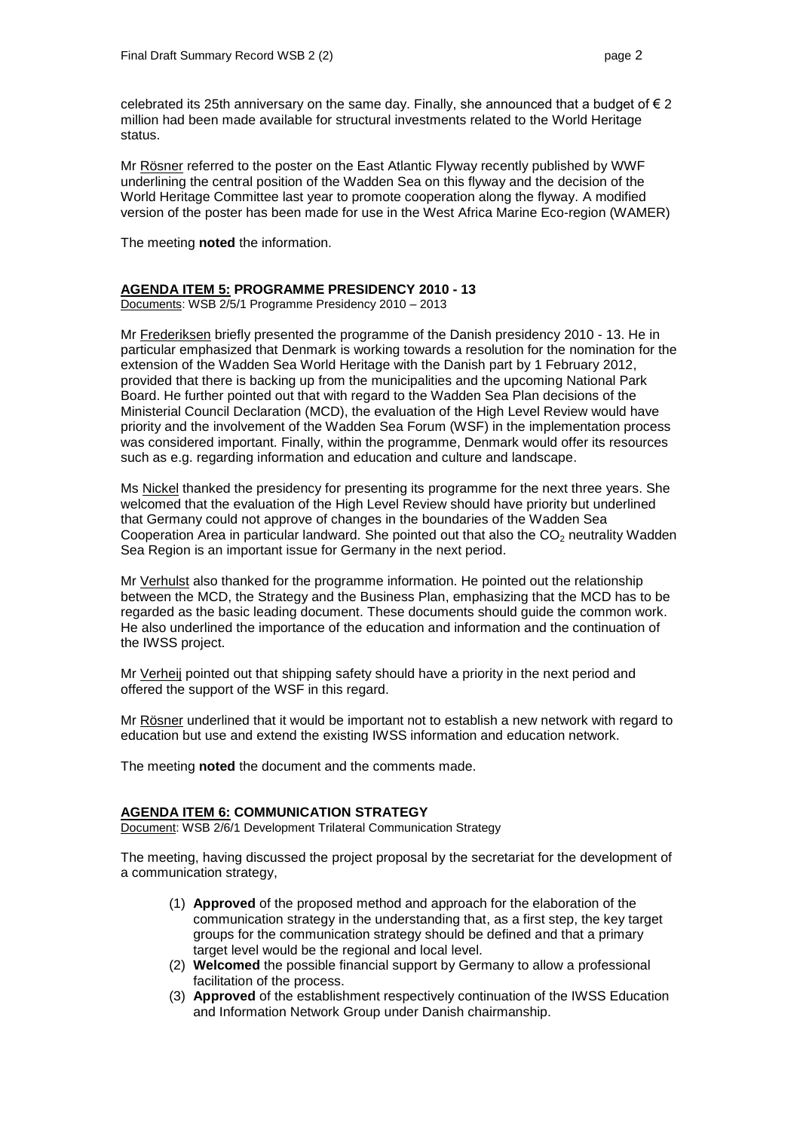celebrated its 25th anniversary on the same day. Finally, she announced that a budget of  $\epsilon$  2 million had been made available for structural investments related to the World Heritage status.

Mr Rösner referred to the poster on the East Atlantic Flyway recently published by WWF underlining the central position of the Wadden Sea on this flyway and the decision of the World Heritage Committee last year to promote cooperation along the flyway. A modified version of the poster has been made for use in the West Africa Marine Eco-region (WAMER)

The meeting **noted** the information.

#### **AGENDA ITEM 5: PROGRAMME PRESIDENCY 2010 - 13**

Documents: WSB 2/5/1 Programme Presidency 2010 – 2013

Mr Frederiksen briefly presented the programme of the Danish presidency 2010 - 13. He in particular emphasized that Denmark is working towards a resolution for the nomination for the extension of the Wadden Sea World Heritage with the Danish part by 1 February 2012, provided that there is backing up from the municipalities and the upcoming National Park Board. He further pointed out that with regard to the Wadden Sea Plan decisions of the Ministerial Council Declaration (MCD), the evaluation of the High Level Review would have priority and the involvement of the Wadden Sea Forum (WSF) in the implementation process was considered important. Finally, within the programme, Denmark would offer its resources such as e.g. regarding information and education and culture and landscape.

Ms Nickel thanked the presidency for presenting its programme for the next three years. She welcomed that the evaluation of the High Level Review should have priority but underlined that Germany could not approve of changes in the boundaries of the Wadden Sea Cooperation Area in particular landward. She pointed out that also the  $CO<sub>2</sub>$  neutrality Wadden Sea Region is an important issue for Germany in the next period.

Mr Verhulst also thanked for the programme information. He pointed out the relationship between the MCD, the Strategy and the Business Plan, emphasizing that the MCD has to be regarded as the basic leading document. These documents should guide the common work. He also underlined the importance of the education and information and the continuation of the IWSS project.

Mr Verheij pointed out that shipping safety should have a priority in the next period and offered the support of the WSF in this regard.

Mr Rösner underlined that it would be important not to establish a new network with regard to education but use and extend the existing IWSS information and education network.

The meeting **noted** the document and the comments made.

#### **AGENDA ITEM 6: COMMUNICATION STRATEGY**

Document: WSB 2/6/1 Development Trilateral Communication Strategy

The meeting, having discussed the project proposal by the secretariat for the development of a communication strategy,

- (1) **Approved** of the proposed method and approach for the elaboration of the communication strategy in the understanding that, as a first step, the key target groups for the communication strategy should be defined and that a primary target level would be the regional and local level.
- (2) **Welcomed** the possible financial support by Germany to allow a professional facilitation of the process.
- (3) **Approved** of the establishment respectively continuation of the IWSS Education and Information Network Group under Danish chairmanship.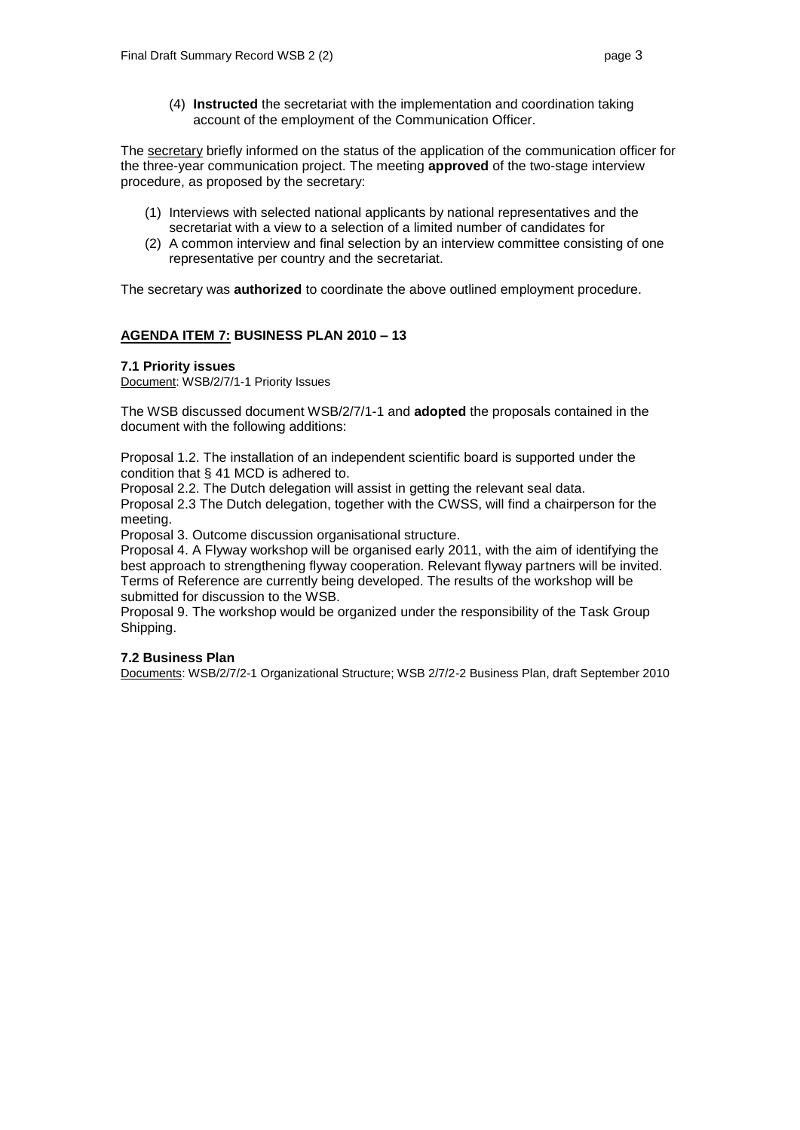(4) **Instructed** the secretariat with the implementation and coordination taking account of the employment of the Communication Officer.

The secretary briefly informed on the status of the application of the communication officer for the three-year communication project. The meeting **approved** of the two-stage interview procedure, as proposed by the secretary:

- (1) Interviews with selected national applicants by national representatives and the secretariat with a view to a selection of a limited number of candidates for
- (2) A common interview and final selection by an interview committee consisting of one representative per country and the secretariat.

The secretary was **authorized** to coordinate the above outlined employment procedure.

## **AGENDA ITEM 7: BUSINESS PLAN 2010 – 13**

#### **7.1 Priority issues**

Document: WSB/2/7/1-1 Priority Issues

The WSB discussed document WSB/2/7/1-1 and **adopted** the proposals contained in the document with the following additions:

Proposal 1.2. The installation of an independent scientific board is supported under the condition that § 41 MCD is adhered to.

Proposal 2.2. The Dutch delegation will assist in getting the relevant seal data.

Proposal 2.3 The Dutch delegation, together with the CWSS, will find a chairperson for the meeting.

Proposal 3. Outcome discussion organisational structure.

Proposal 4. A Flyway workshop will be organised early 2011, with the aim of identifying the best approach to strengthening flyway cooperation. Relevant flyway partners will be invited. Terms of Reference are currently being developed. The results of the workshop will be submitted for discussion to the WSB.

Proposal 9. The workshop would be organized under the responsibility of the Task Group Shipping.

#### **7.2 Business Plan**

Documents: WSB/2/7/2-1 Organizational Structure; WSB 2/7/2-2 Business Plan, draft September 2010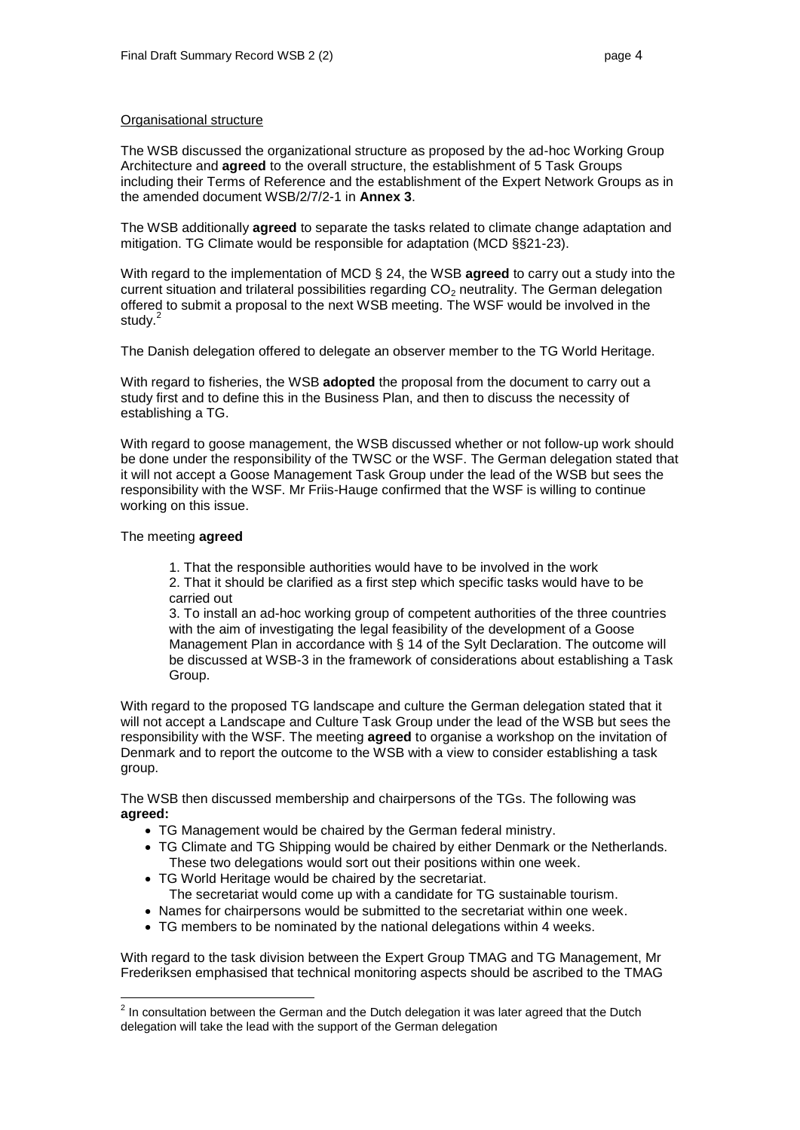#### Organisational structure

The WSB discussed the organizational structure as proposed by the ad-hoc Working Group Architecture and **agreed** to the overall structure, the establishment of 5 Task Groups including their Terms of Reference and the establishment of the Expert Network Groups as in the amended document WSB/2/7/2-1 in **Annex 3**.

The WSB additionally **agreed** to separate the tasks related to climate change adaptation and mitigation. TG Climate would be responsible for adaptation (MCD §§21-23).

With regard to the implementation of MCD § 24, the WSB **agreed** to carry out a study into the current situation and trilateral possibilities regarding  $CO<sub>2</sub>$  neutrality. The German delegation offered to submit a proposal to the next WSB meeting. The WSF would be involved in the study.<sup>2</sup>

The Danish delegation offered to delegate an observer member to the TG World Heritage.

With regard to fisheries, the WSB **adopted** the proposal from the document to carry out a study first and to define this in the Business Plan, and then to discuss the necessity of establishing a TG.

With regard to goose management, the WSB discussed whether or not follow-up work should be done under the responsibility of the TWSC or the WSF. The German delegation stated that it will not accept a Goose Management Task Group under the lead of the WSB but sees the responsibility with the WSF. Mr Friis-Hauge confirmed that the WSF is willing to continue working on this issue.

#### The meeting **agreed**

1. That the responsible authorities would have to be involved in the work

2. That it should be clarified as a first step which specific tasks would have to be carried out

3. To install an ad-hoc working group of competent authorities of the three countries with the aim of investigating the legal feasibility of the development of a Goose Management Plan in accordance with § 14 of the Sylt Declaration. The outcome will be discussed at WSB-3 in the framework of considerations about establishing a Task Group.

With regard to the proposed TG landscape and culture the German delegation stated that it will not accept a Landscape and Culture Task Group under the lead of the WSB but sees the responsibility with the WSF. The meeting **agreed** to organise a workshop on the invitation of Denmark and to report the outcome to the WSB with a view to consider establishing a task group.

The WSB then discussed membership and chairpersons of the TGs. The following was **agreed:**

- TG Management would be chaired by the German federal ministry.
- TG Climate and TG Shipping would be chaired by either Denmark or the Netherlands. These two delegations would sort out their positions within one week.
- TG World Heritage would be chaired by the secretariat. The secretariat would come up with a candidate for TG sustainable tourism.
- Names for chairpersons would be submitted to the secretariat within one week.
- TG members to be nominated by the national delegations within 4 weeks.

With regard to the task division between the Expert Group TMAG and TG Management, Mr Frederiksen emphasised that technical monitoring aspects should be ascribed to the TMAG

 2 In consultation between the German and the Dutch delegation it was later agreed that the Dutch delegation will take the lead with the support of the German delegation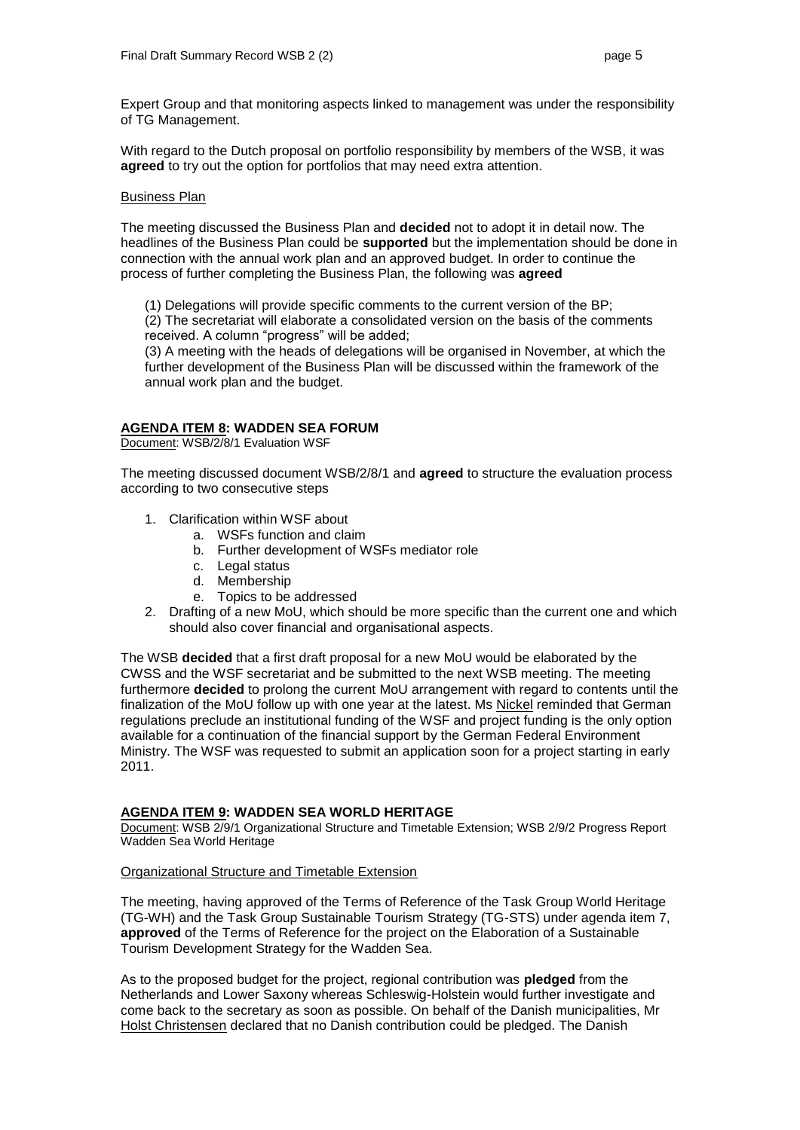Expert Group and that monitoring aspects linked to management was under the responsibility of TG Management.

With regard to the Dutch proposal on portfolio responsibility by members of the WSB, it was **agreed** to try out the option for portfolios that may need extra attention.

#### Business Plan

The meeting discussed the Business Plan and **decided** not to adopt it in detail now. The headlines of the Business Plan could be **supported** but the implementation should be done in connection with the annual work plan and an approved budget. In order to continue the process of further completing the Business Plan, the following was **agreed**

(1) Delegations will provide specific comments to the current version of the BP;

(2) The secretariat will elaborate a consolidated version on the basis of the comments received. A column "progress" will be added;

(3) A meeting with the heads of delegations will be organised in November, at which the further development of the Business Plan will be discussed within the framework of the annual work plan and the budget.

#### **AGENDA ITEM 8: WADDEN SEA FORUM**

Document: WSB/2/8/1 Evaluation WSF

The meeting discussed document WSB/2/8/1 and **agreed** to structure the evaluation process according to two consecutive steps

- 1. Clarification within WSF about
	- a. WSFs function and claim
	- b. Further development of WSFs mediator role
	- c. Legal status
	- d. Membership
	- e. Topics to be addressed
- 2. Drafting of a new MoU, which should be more specific than the current one and which should also cover financial and organisational aspects.

The WSB **decided** that a first draft proposal for a new MoU would be elaborated by the CWSS and the WSF secretariat and be submitted to the next WSB meeting. The meeting furthermore **decided** to prolong the current MoU arrangement with regard to contents until the finalization of the MoU follow up with one year at the latest. Ms Nickel reminded that German regulations preclude an institutional funding of the WSF and project funding is the only option available for a continuation of the financial support by the German Federal Environment Ministry. The WSF was requested to submit an application soon for a project starting in early 2011.

#### **AGENDA ITEM 9: WADDEN SEA WORLD HERITAGE**

Document: WSB 2/9/1 Organizational Structure and Timetable Extension; WSB 2/9/2 Progress Report Wadden Sea World Heritage

#### Organizational Structure and Timetable Extension

The meeting, having approved of the Terms of Reference of the Task Group World Heritage (TG-WH) and the Task Group Sustainable Tourism Strategy (TG-STS) under agenda item 7, **approved** of the Terms of Reference for the project on the Elaboration of a Sustainable Tourism Development Strategy for the Wadden Sea.

As to the proposed budget for the project, regional contribution was **pledged** from the Netherlands and Lower Saxony whereas Schleswig-Holstein would further investigate and come back to the secretary as soon as possible. On behalf of the Danish municipalities, Mr Holst Christensen declared that no Danish contribution could be pledged. The Danish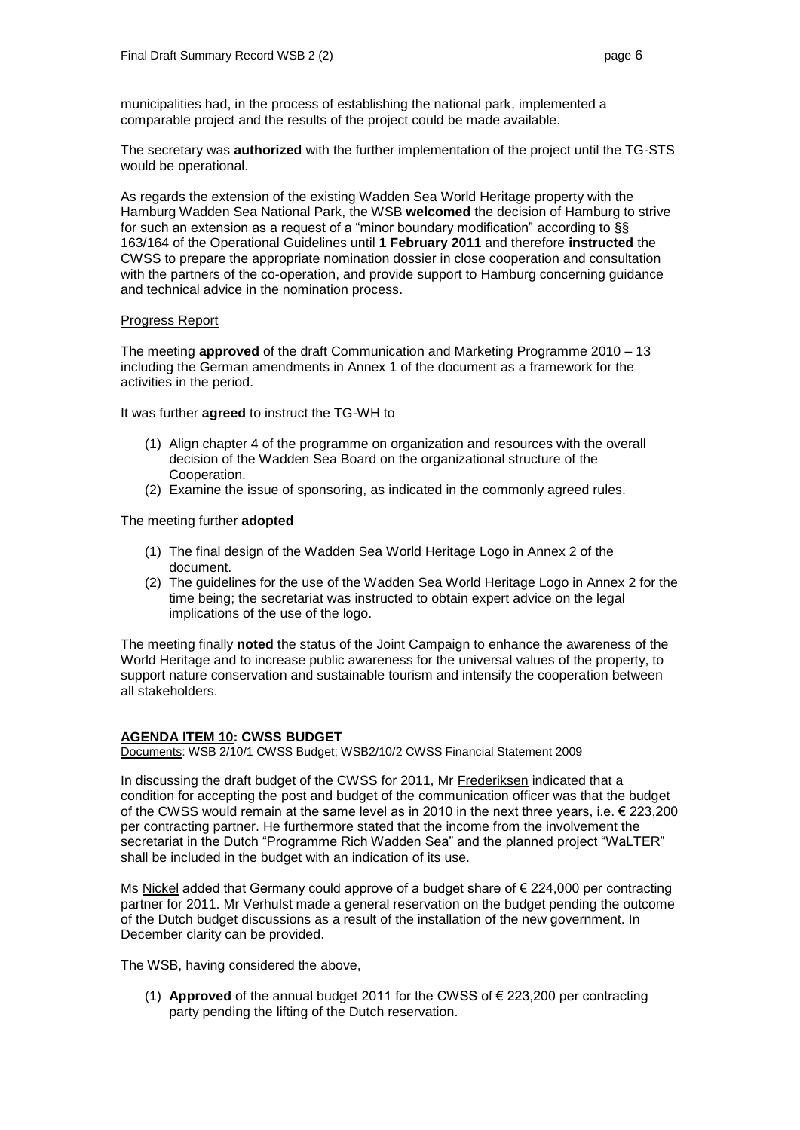municipalities had, in the process of establishing the national park, implemented a comparable project and the results of the project could be made available.

The secretary was **authorized** with the further implementation of the project until the TG-STS would be operational.

As regards the extension of the existing Wadden Sea World Heritage property with the Hamburg Wadden Sea National Park, the WSB **welcomed** the decision of Hamburg to strive for such an extension as a request of a "minor boundary modification" according to §§ 163/164 of the Operational Guidelines until **1 February 2011** and therefore **instructed** the CWSS to prepare the appropriate nomination dossier in close cooperation and consultation with the partners of the co-operation, and provide support to Hamburg concerning guidance and technical advice in the nomination process.

#### Progress Report

The meeting **approved** of the draft Communication and Marketing Programme 2010 – 13 including the German amendments in Annex 1 of the document as a framework for the activities in the period.

It was further **agreed** to instruct the TG-WH to

- (1) Align chapter 4 of the programme on organization and resources with the overall decision of the Wadden Sea Board on the organizational structure of the Cooperation.
- (2) Examine the issue of sponsoring, as indicated in the commonly agreed rules.

#### The meeting further **adopted**

- (1) The final design of the Wadden Sea World Heritage Logo in Annex 2 of the document.
- (2) The guidelines for the use of the Wadden Sea World Heritage Logo in Annex 2 for the time being; the secretariat was instructed to obtain expert advice on the legal implications of the use of the logo.

The meeting finally **noted** the status of the Joint Campaign to enhance the awareness of the World Heritage and to increase public awareness for the universal values of the property, to support nature conservation and sustainable tourism and intensify the cooperation between all stakeholders.

#### **AGENDA ITEM 10: CWSS BUDGET**

Documents: WSB 2/10/1 CWSS Budget; WSB2/10/2 CWSS Financial Statement 2009

In discussing the draft budget of the CWSS for 2011, Mr Frederiksen indicated that a condition for accepting the post and budget of the communication officer was that the budget of the CWSS would remain at the same level as in 2010 in the next three years, i.e.  $\epsilon$  223,200 per contracting partner. He furthermore stated that the income from the involvement the secretariat in the Dutch "Programme Rich Wadden Sea" and the planned project "WaLTER" shall be included in the budget with an indication of its use.

Ms Nickel added that Germany could approve of a budget share of  $\epsilon$  224,000 per contracting partner for 2011. Mr Verhulst made a general reservation on the budget pending the outcome of the Dutch budget discussions as a result of the installation of the new government. In December clarity can be provided.

The WSB, having considered the above,

(1) **Approved** of the annual budget 2011 for the CWSS of € 223,200 per contracting party pending the lifting of the Dutch reservation.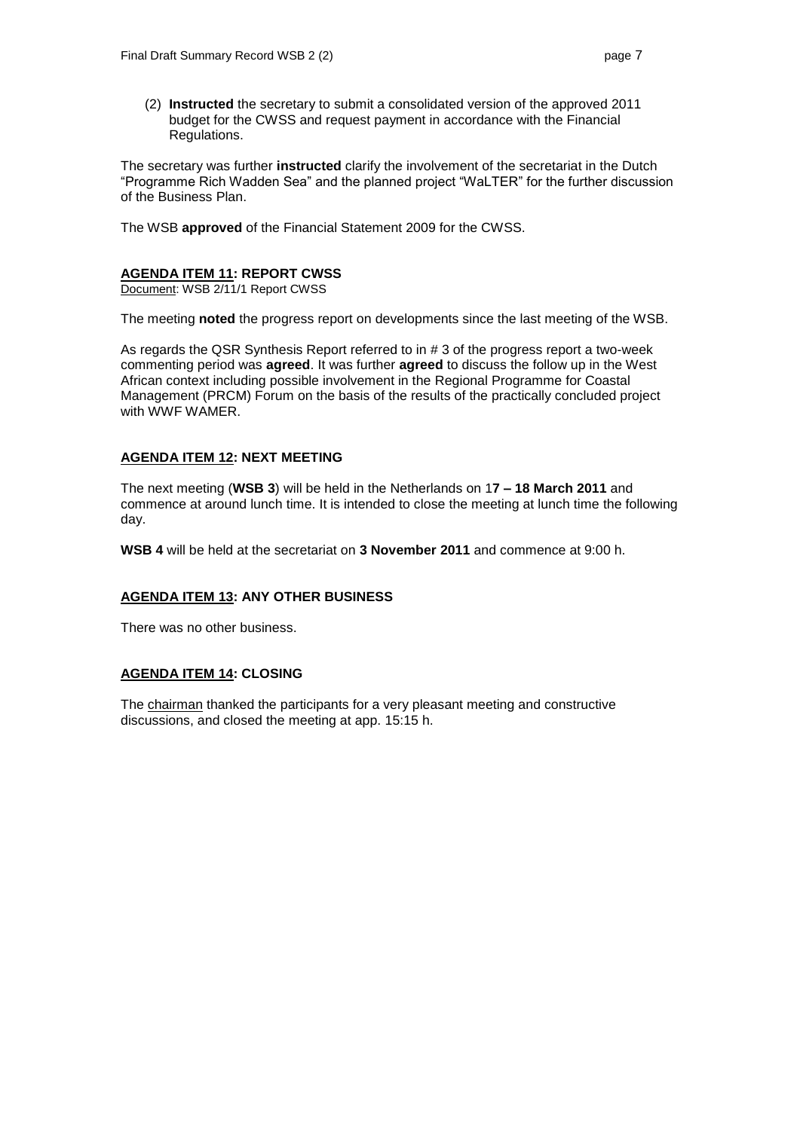(2) **Instructed** the secretary to submit a consolidated version of the approved 2011 budget for the CWSS and request payment in accordance with the Financial Regulations.

The secretary was further **instructed** clarify the involvement of the secretariat in the Dutch "Programme Rich Wadden Sea" and the planned project "WaLTER" for the further discussion of the Business Plan.

The WSB **approved** of the Financial Statement 2009 for the CWSS.

## **AGENDA ITEM 11: REPORT CWSS**

Document: WSB 2/11/1 Report CWSS

The meeting **noted** the progress report on developments since the last meeting of the WSB.

As regards the QSR Synthesis Report referred to in # 3 of the progress report a two-week commenting period was **agreed**. It was further **agreed** to discuss the follow up in the West African context including possible involvement in the Regional Programme for Coastal Management (PRCM) Forum on the basis of the results of the practically concluded project with WWF WAMER.

#### **AGENDA ITEM 12: NEXT MEETING**

The next meeting (**WSB 3**) will be held in the Netherlands on 1**7 – 18 March 2011** and commence at around lunch time. It is intended to close the meeting at lunch time the following day.

**WSB 4** will be held at the secretariat on **3 November 2011** and commence at 9:00 h.

#### **AGENDA ITEM 13: ANY OTHER BUSINESS**

There was no other business.

#### **AGENDA ITEM 14: CLOSING**

The chairman thanked the participants for a very pleasant meeting and constructive discussions, and closed the meeting at app. 15:15 h.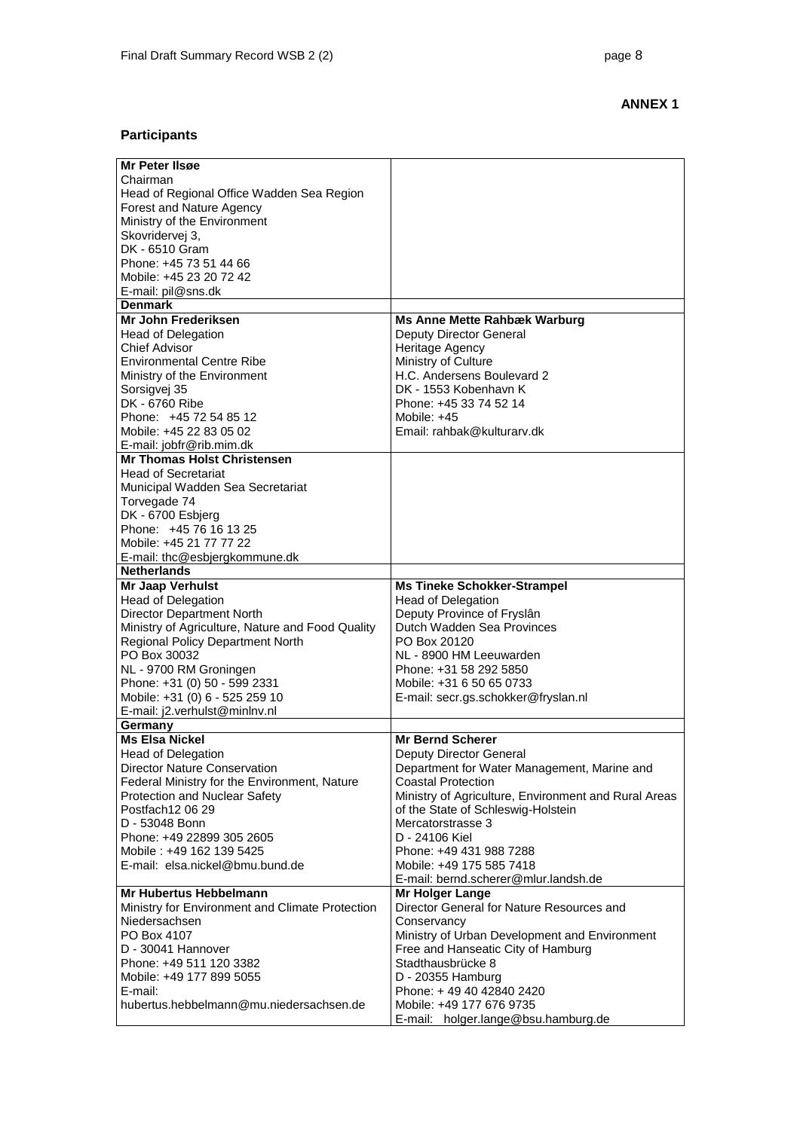## **ANNEX 1**

# **Participants**

| Mr Peter IIsøe                                      |                                                      |
|-----------------------------------------------------|------------------------------------------------------|
| Chairman                                            |                                                      |
| Head of Regional Office Wadden Sea Region           |                                                      |
| Forest and Nature Agency                            |                                                      |
| Ministry of the Environment                         |                                                      |
| Skovridervej 3,                                     |                                                      |
| DK - 6510 Gram                                      |                                                      |
| Phone: +45 73 51 44 66                              |                                                      |
| Mobile: +45 23 20 72 42                             |                                                      |
| E-mail: pil@sns.dk                                  |                                                      |
| <b>Denmark</b>                                      |                                                      |
| Mr John Frederiksen                                 | <b>Ms Anne Mette Rahbæk Warburg</b>                  |
|                                                     |                                                      |
| <b>Head of Delegation</b>                           | Deputy Director General                              |
| <b>Chief Advisor</b>                                | Heritage Agency                                      |
| <b>Environmental Centre Ribe</b>                    | Ministry of Culture                                  |
| Ministry of the Environment                         | H.C. Andersens Boulevard 2                           |
| Sorsigvej 35                                        | DK - 1553 Kobenhavn K                                |
| DK - 6760 Ribe                                      | Phone: +45 33 74 52 14                               |
| Phone: +45 72 54 85 12                              | Mobile: +45                                          |
| Mobile: +45 22 83 05 02                             | Email: rahbak@kulturarv.dk                           |
| E-mail: jobfr@rib.mim.dk                            |                                                      |
| <b>Mr Thomas Holst Christensen</b>                  |                                                      |
| <b>Head of Secretariat</b>                          |                                                      |
| Municipal Wadden Sea Secretariat                    |                                                      |
| Torvegade 74                                        |                                                      |
| DK - 6700 Esbjerg                                   |                                                      |
| Phone: +45 76 16 13 25                              |                                                      |
| Mobile: +45 21 77 77 22                             |                                                      |
|                                                     |                                                      |
| E-mail: thc@esbjergkommune.dk<br><b>Netherlands</b> |                                                      |
|                                                     |                                                      |
| <b>Mr Jaap Verhulst</b>                             | <b>Ms Tineke Schokker-Strampel</b>                   |
| <b>Head of Delegation</b>                           | <b>Head of Delegation</b>                            |
| <b>Director Department North</b>                    | Deputy Province of Fryslân                           |
| Ministry of Agriculture, Nature and Food Quality    | Dutch Wadden Sea Provinces                           |
| <b>Regional Policy Department North</b>             | PO Box 20120                                         |
| PO Box 30032                                        | NL - 8900 HM Leeuwarden                              |
| NL - 9700 RM Groningen                              | Phone: +31 58 292 5850                               |
| Phone: +31 (0) 50 - 599 2331                        | Mobile: +31 6 50 65 0733                             |
| Mobile: +31 (0) 6 - 525 259 10                      | E-mail: secr.gs.schokker@fryslan.nl                  |
| E-mail: j2.verhulst@minlnv.nl                       |                                                      |
| Germany                                             |                                                      |
| <b>Ms Elsa Nickel</b>                               | <b>Mr Bernd Scherer</b>                              |
| <b>Head of Delegation</b>                           | Deputy Director General                              |
| <b>Director Nature Conservation</b>                 | Department for Water Management, Marine and          |
| Federal Ministry for the Environment, Nature        | <b>Coastal Protection</b>                            |
| Protection and Nuclear Safety                       | Ministry of Agriculture, Environment and Rural Areas |
| Postfach12 06 29                                    | of the State of Schleswig-Holstein                   |
| D - 53048 Bonn                                      | Mercatorstrasse 3                                    |
| Phone: +49 22899 305 2605                           | D - 24106 Kiel                                       |
| Mobile: +49 162 139 5425                            | Phone: +49 431 988 7288                              |
| E-mail: elsa.nickel@bmu.bund.de                     |                                                      |
|                                                     | Mobile: +49 175 585 7418                             |
|                                                     | E-mail: bernd.scherer@mlur.landsh.de                 |
| Mr Hubertus Hebbelmann                              | <b>Mr Holger Lange</b>                               |
| Ministry for Environment and Climate Protection     | Director General for Nature Resources and            |
| Niedersachsen                                       | Conservancy                                          |
| PO Box 4107                                         | Ministry of Urban Development and Environment        |
| D - 30041 Hannover                                  | Free and Hanseatic City of Hamburg                   |
| Phone: +49 511 120 3382                             | Stadthausbrücke 8                                    |
| Mobile: +49 177 899 5055                            | D - 20355 Hamburg                                    |
| E-mail:                                             | Phone: +49 40 42840 2420                             |
| hubertus.hebbelmann@mu.niedersachsen.de             | Mobile: +49 177 676 9735                             |
|                                                     | E-mail: holger.lange@bsu.hamburg.de                  |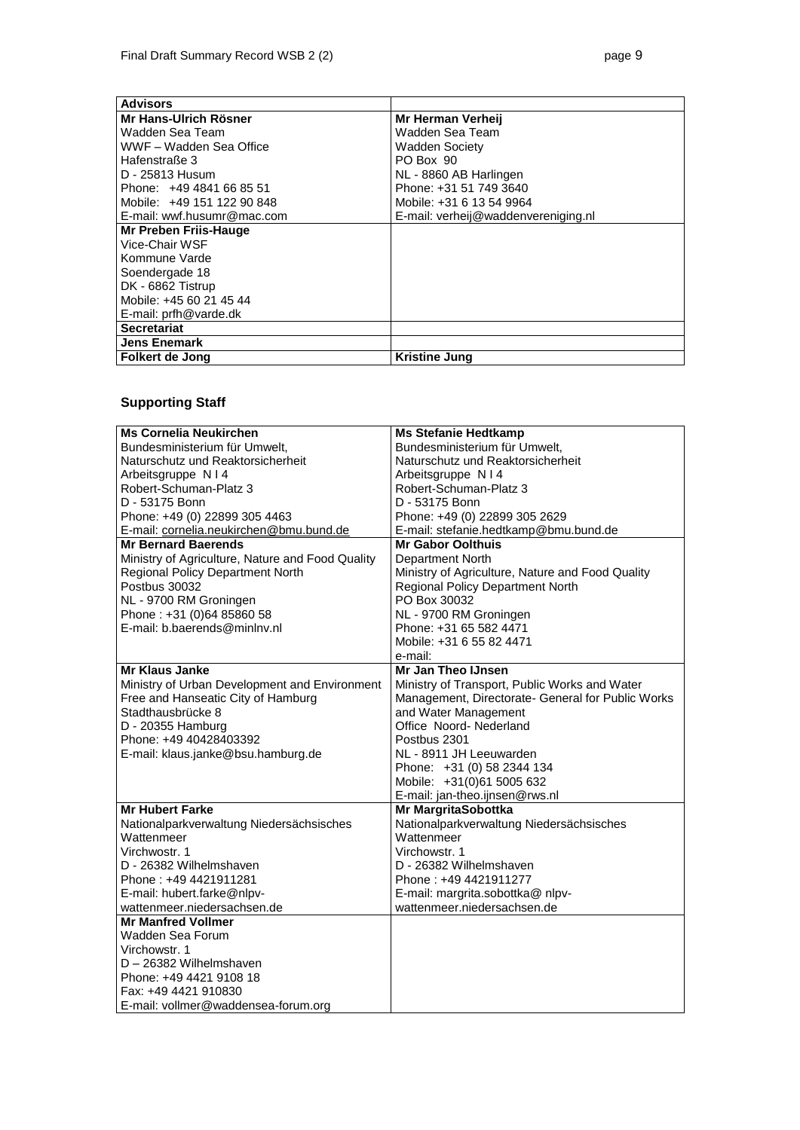| <b>Advisors</b>            |                                     |
|----------------------------|-------------------------------------|
| Mr Hans-Ulrich Rösner      | Mr Herman Verheij                   |
| Wadden Sea Team            | Wadden Sea Team                     |
| WWF - Wadden Sea Office    | <b>Wadden Society</b>               |
| Hafenstraße 3              | PO Box 90                           |
| D - 25813 Husum            | NL - 8860 AB Harlingen              |
| Phone: +49 4841 66 85 51   | Phone: +31 51 749 3640              |
| Mobile: +49 151 122 90 848 | Mobile: +31 6 13 54 9964            |
| E-mail: wwf.husumr@mac.com | E-mail: verheij@waddenvereniging.nl |
| Mr Preben Friis-Hauge      |                                     |
| Vice-Chair WSF             |                                     |
| Kommune Varde              |                                     |
| Soendergade 18             |                                     |
| DK - 6862 Tistrup          |                                     |
| Mobile: +45 60 21 45 44    |                                     |
| E-mail: prfh@varde.dk      |                                     |
| <b>Secretariat</b>         |                                     |
| <b>Jens Enemark</b>        |                                     |
| Folkert de Jong            | Kristine Jung                       |

# **Supporting Staff**

| <b>Ms Cornelia Neukirchen</b>                    | <b>Ms Stefanie Hedtkamp</b>                       |
|--------------------------------------------------|---------------------------------------------------|
| Bundesministerium für Umwelt.                    | Bundesministerium für Umwelt.                     |
| Naturschutz und Reaktorsicherheit                | Naturschutz und Reaktorsicherheit                 |
| Arbeitsgruppe N I 4                              | Arbeitsgruppe N I 4                               |
| Robert-Schuman-Platz 3                           | Robert-Schuman-Platz 3                            |
| D - 53175 Bonn                                   | D - 53175 Bonn                                    |
| Phone: +49 (0) 22899 305 4463                    | Phone: +49 (0) 22899 305 2629                     |
| E-mail: cornelia.neukirchen@bmu.bund.de          | E-mail: stefanie.hedtkamp@bmu.bund.de             |
| <b>Mr Bernard Baerends</b>                       | <b>Mr Gabor Oolthuis</b>                          |
| Ministry of Agriculture, Nature and Food Quality | Department North                                  |
| <b>Regional Policy Department North</b>          | Ministry of Agriculture, Nature and Food Quality  |
| Postbus 30032                                    | Regional Policy Department North                  |
| NL - 9700 RM Groningen                           | PO Box 30032                                      |
| Phone: +31 (0)64 85860 58                        | NL - 9700 RM Groningen                            |
| E-mail: b.baerends@minlny.nl                     | Phone: +31 65 582 4471                            |
|                                                  | Mobile: +31 6 55 82 4471                          |
|                                                  | e-mail:                                           |
| Mr Klaus Janke                                   | Mr Jan Theo IJnsen                                |
| Ministry of Urban Development and Environment    | Ministry of Transport, Public Works and Water     |
| Free and Hanseatic City of Hamburg               | Management, Directorate- General for Public Works |
| Stadthausbrücke 8                                | and Water Management                              |
| D - 20355 Hamburg                                | Office Noord-Nederland                            |
| Phone: +49 40428403392                           | Postbus 2301                                      |
| E-mail: klaus.janke@bsu.hamburg.de               | NL - 8911 JH Leeuwarden                           |
|                                                  | Phone: +31 (0) 58 2344 134                        |
|                                                  | Mobile: +31(0)61 5005 632                         |
|                                                  | E-mail: jan-theo.ijnsen@rws.nl                    |
| <b>Mr Hubert Farke</b>                           | Mr MargritaSobottka                               |
| Nationalparkverwaltung Niedersächsisches         | Nationalparkverwaltung Niedersächsisches          |
| Wattenmeer                                       | Wattenmeer                                        |
| Virchwostr, 1                                    | Virchowstr. 1                                     |
| D - 26382 Wilhelmshaven                          | D - 26382 Wilhelmshaven                           |
| Phone: +49 4421911281                            | Phone: +49 4421911277                             |
| E-mail: hubert.farke@nlpv-                       | E-mail: margrita.sobottka@ nlpv-                  |
| wattenmeer.niedersachsen.de                      | wattenmeer.niedersachsen.de                       |
| <b>Mr Manfred Vollmer</b>                        |                                                   |
| Wadden Sea Forum                                 |                                                   |
| Virchowstr, 1                                    |                                                   |
| D - 26382 Wilhelmshaven                          |                                                   |
| Phone: +49 4421 9108 18                          |                                                   |
| Fax: +49 4421 910830                             |                                                   |
| E-mail: vollmer@waddensea-forum.org              |                                                   |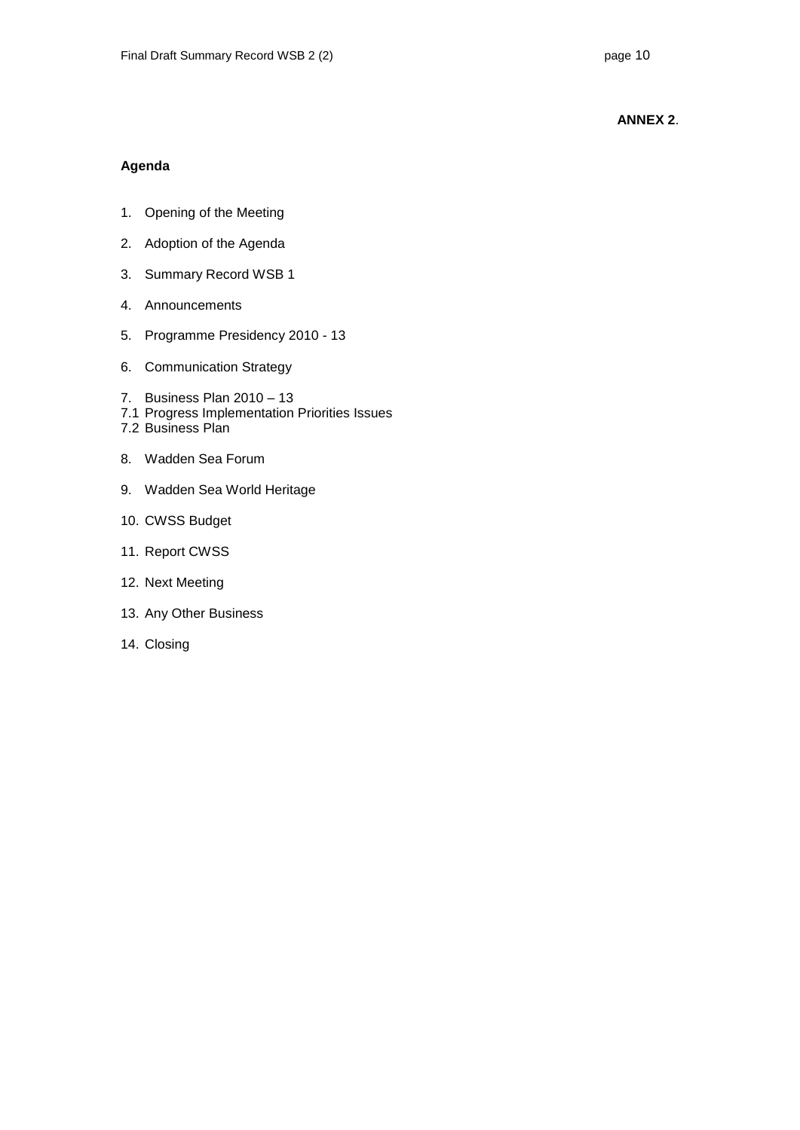### **ANNEX 2**.

#### **Agenda**

- 1. Opening of the Meeting
- 2. Adoption of the Agenda
- 3. Summary Record WSB 1
- 4. Announcements
- 5. Programme Presidency 2010 13
- 6. Communication Strategy
- 7. Business Plan 2010 13
- 7.1 Progress Implementation Priorities Issues
- 7.2 Business Plan
- 8. Wadden Sea Forum
- 9. Wadden Sea World Heritage
- 10. CWSS Budget
- 11. Report CWSS
- 12. Next Meeting
- 13. Any Other Business
- 14. Closing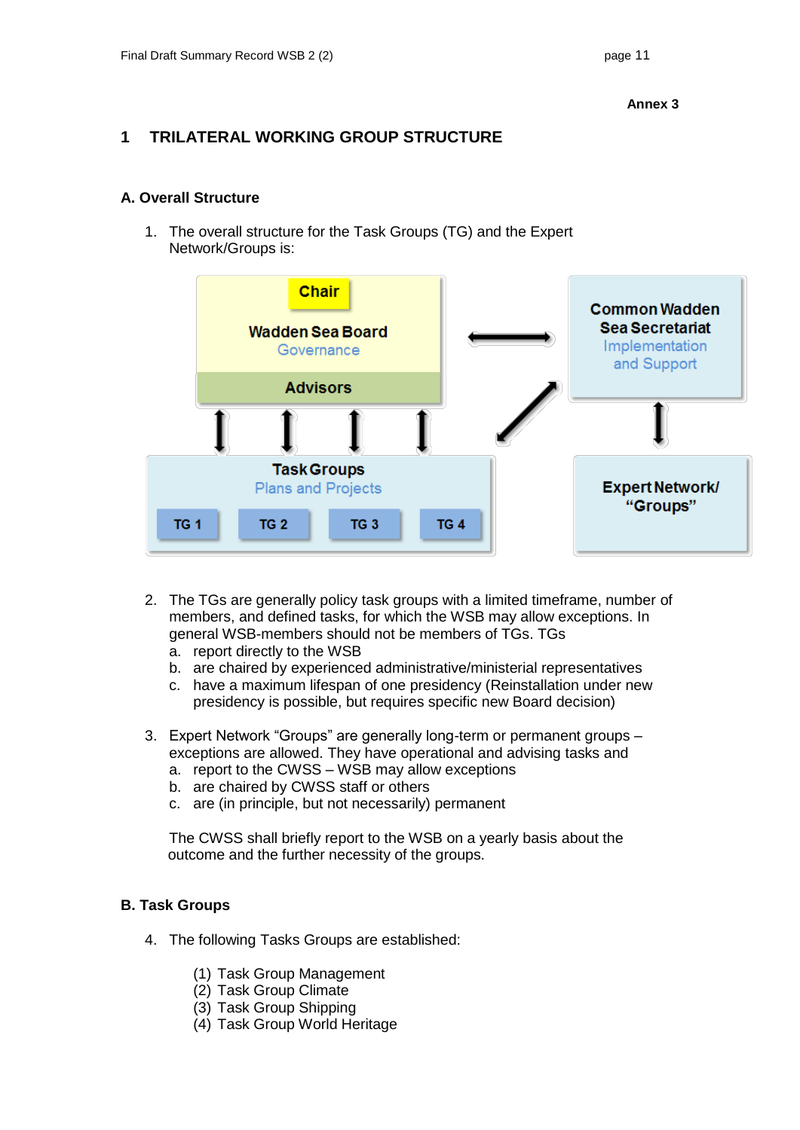# **1 TRILATERAL WORKING GROUP STRUCTURE**

## **A. Overall Structure**

1. The overall structure for the Task Groups (TG) and the Expert Network/Groups is:



- 2. The TGs are generally policy task groups with a limited timeframe, number of members, and defined tasks, for which the WSB may allow exceptions. In general WSB-members should not be members of TGs. TGs
	- a. report directly to the WSB
	- b. are chaired by experienced administrative/ministerial representatives
	- c. have a maximum lifespan of one presidency (Reinstallation under new presidency is possible, but requires specific new Board decision)
- 3. Expert Network "Groups" are generally long-term or permanent groups exceptions are allowed. They have operational and advising tasks and
	- a. report to the CWSS WSB may allow exceptions
	- b. are chaired by CWSS staff or others
	- c. are (in principle, but not necessarily) permanent

The CWSS shall briefly report to the WSB on a yearly basis about the outcome and the further necessity of the groups.

## **B. Task Groups**

- 4. The following Tasks Groups are established:
	- (1) Task Group Management
	- (2) Task Group Climate
	- (3) Task Group Shipping
	- (4) Task Group World Heritage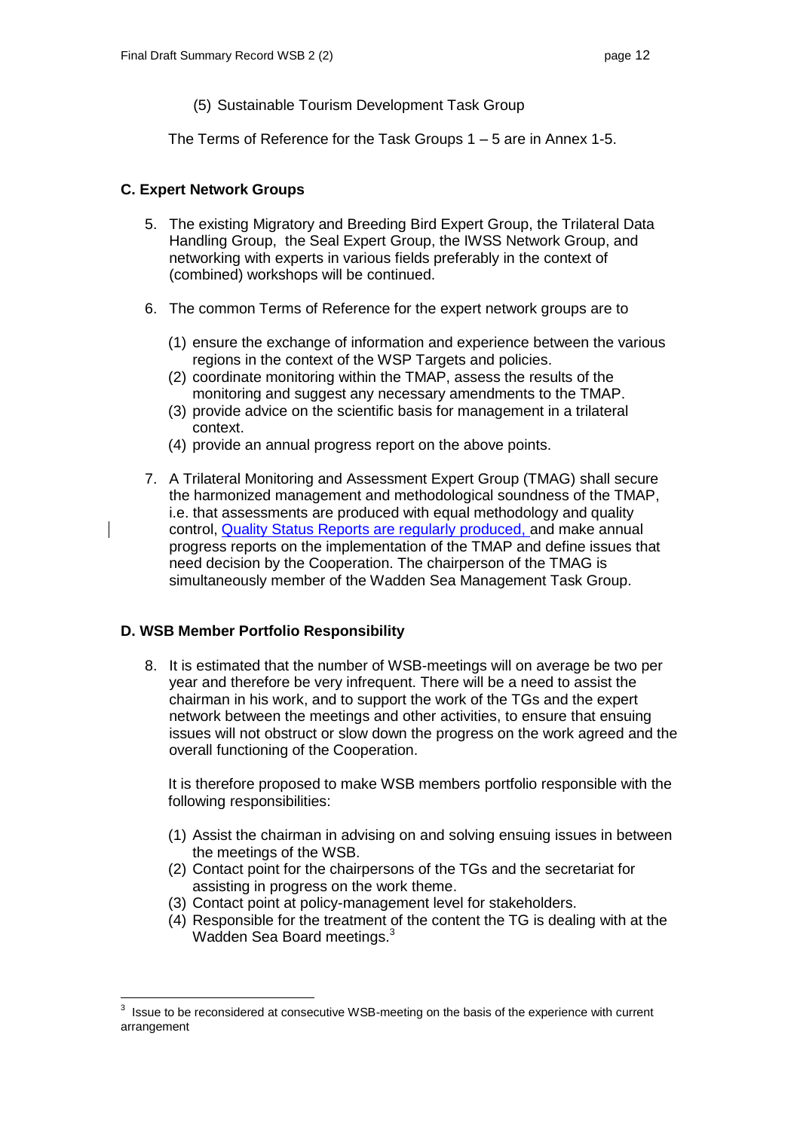(5) Sustainable Tourism Development Task Group

The Terms of Reference for the Task Groups 1 – 5 are in Annex 1-5.

## **C. Expert Network Groups**

- 5. The existing Migratory and Breeding Bird Expert Group, the Trilateral Data Handling Group, the Seal Expert Group, the IWSS Network Group, and networking with experts in various fields preferably in the context of (combined) workshops will be continued.
- 6. The common Terms of Reference for the expert network groups are to
	- (1) ensure the exchange of information and experience between the various regions in the context of the WSP Targets and policies.
	- (2) coordinate monitoring within the TMAP, assess the results of the monitoring and suggest any necessary amendments to the TMAP.
	- (3) provide advice on the scientific basis for management in a trilateral context.
	- (4) provide an annual progress report on the above points.
- 7. A Trilateral Monitoring and Assessment Expert Group (TMAG) shall secure the harmonized management and methodological soundness of the TMAP, i.e. that assessments are produced with equal methodology and quality control, Quality Status Reports are regularly produced, and make annual progress reports on the implementation of the TMAP and define issues that need decision by the Cooperation. The chairperson of the TMAG is simultaneously member of the Wadden Sea Management Task Group.

## **D. WSB Member Portfolio Responsibility**

 $\overline{a}$ 

8. It is estimated that the number of WSB-meetings will on average be two per year and therefore be very infrequent. There will be a need to assist the chairman in his work, and to support the work of the TGs and the expert network between the meetings and other activities, to ensure that ensuing issues will not obstruct or slow down the progress on the work agreed and the overall functioning of the Cooperation.

It is therefore proposed to make WSB members portfolio responsible with the following responsibilities:

- (1) Assist the chairman in advising on and solving ensuing issues in between the meetings of the WSB.
- (2) Contact point for the chairpersons of the TGs and the secretariat for assisting in progress on the work theme.
- (3) Contact point at policy-management level for stakeholders.
- (4) Responsible for the treatment of the content the TG is dealing with at the Wadden Sea Board meetings.<sup>3</sup>

 $3$  Issue to be reconsidered at consecutive WSB-meeting on the basis of the experience with current arrangement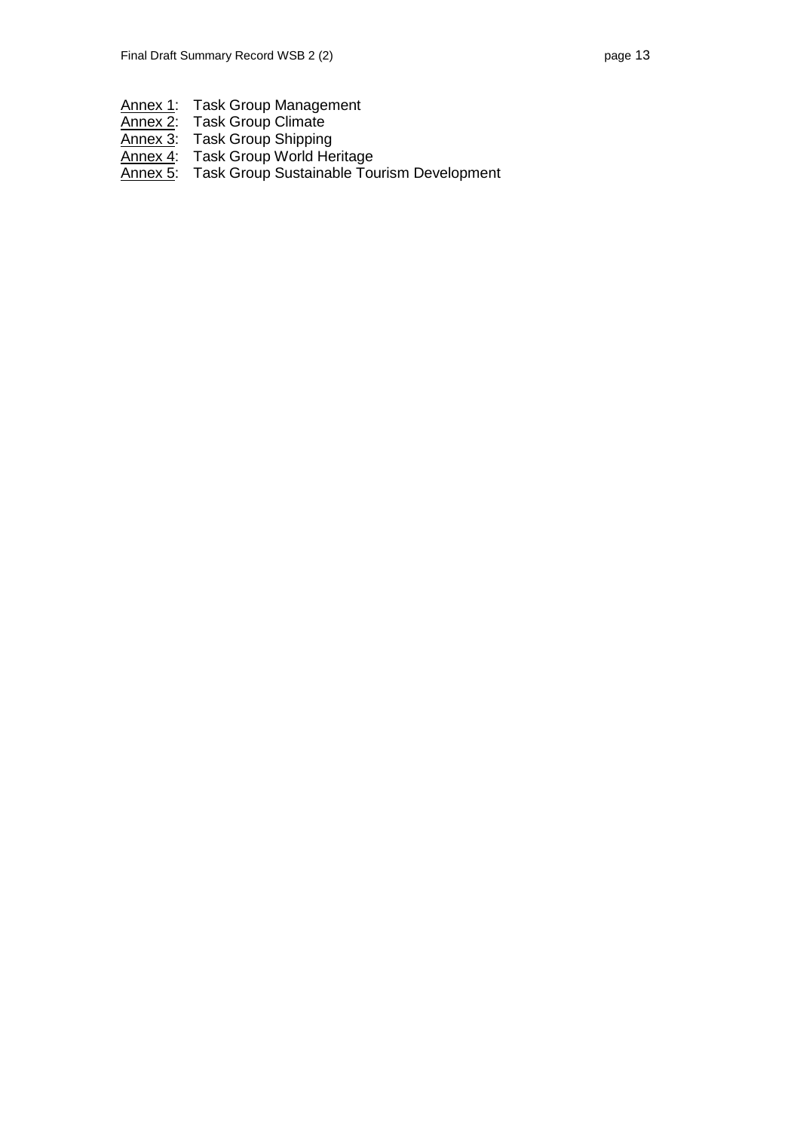| Annex 1: Task Group Management     |
|------------------------------------|
| Annex 2: Task Group Climate        |
| Annex 3: Task Group Shipping       |
| Annex 4: Task Group World Heritage |

Annex 5: Task Group Sustainable Tourism Development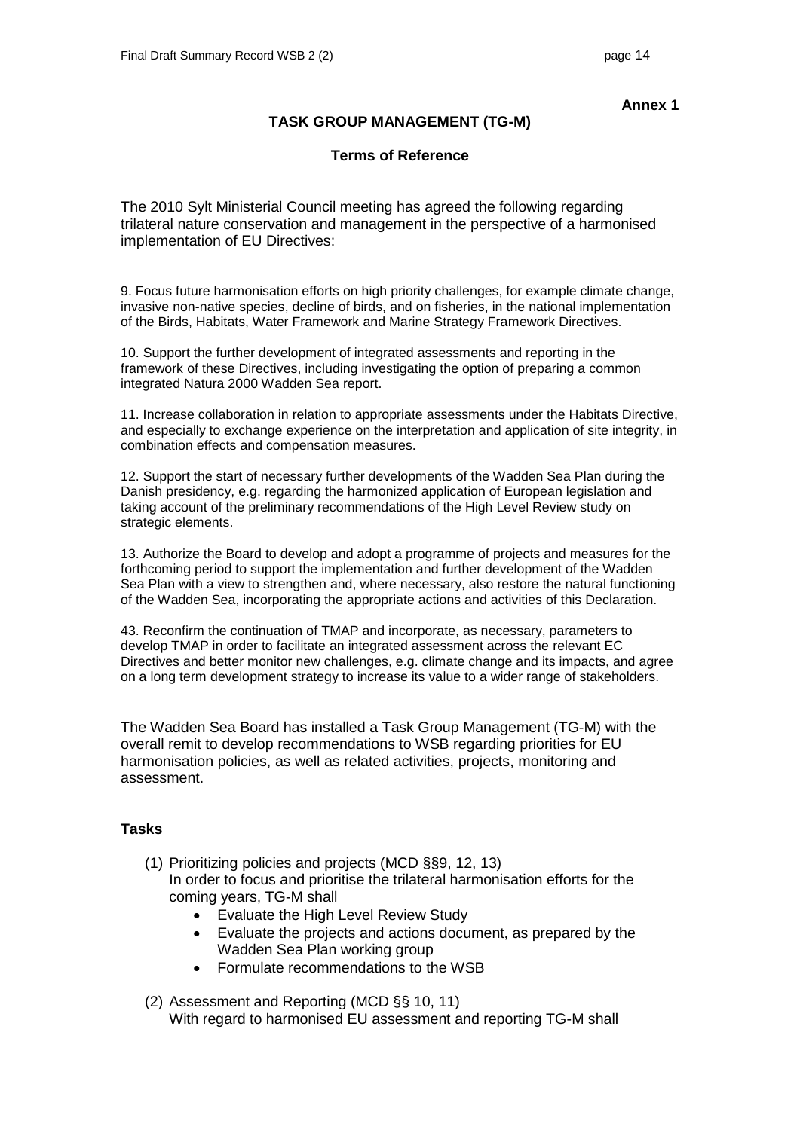## **TASK GROUP MANAGEMENT (TG-M)**

## **Terms of Reference**

The 2010 Sylt Ministerial Council meeting has agreed the following regarding trilateral nature conservation and management in the perspective of a harmonised implementation of EU Directives:

9. Focus future harmonisation efforts on high priority challenges, for example climate change, invasive non-native species, decline of birds, and on fisheries, in the national implementation of the Birds, Habitats, Water Framework and Marine Strategy Framework Directives.

10. Support the further development of integrated assessments and reporting in the framework of these Directives, including investigating the option of preparing a common integrated Natura 2000 Wadden Sea report.

11. Increase collaboration in relation to appropriate assessments under the Habitats Directive, and especially to exchange experience on the interpretation and application of site integrity, in combination effects and compensation measures.

12. Support the start of necessary further developments of the Wadden Sea Plan during the Danish presidency, e.g. regarding the harmonized application of European legislation and taking account of the preliminary recommendations of the High Level Review study on strategic elements.

13. Authorize the Board to develop and adopt a programme of projects and measures for the forthcoming period to support the implementation and further development of the Wadden Sea Plan with a view to strengthen and, where necessary, also restore the natural functioning of the Wadden Sea, incorporating the appropriate actions and activities of this Declaration.

43. Reconfirm the continuation of TMAP and incorporate, as necessary, parameters to develop TMAP in order to facilitate an integrated assessment across the relevant EC Directives and better monitor new challenges, e.g. climate change and its impacts, and agree on a long term development strategy to increase its value to a wider range of stakeholders.

The Wadden Sea Board has installed a Task Group Management (TG-M) with the overall remit to develop recommendations to WSB regarding priorities for EU harmonisation policies, as well as related activities, projects, monitoring and assessment.

### **Tasks**

- (1) Prioritizing policies and projects (MCD §§9, 12, 13) In order to focus and prioritise the trilateral harmonisation efforts for the coming years, TG-M shall
	- Evaluate the High Level Review Study
	- Evaluate the projects and actions document, as prepared by the Wadden Sea Plan working group
	- Formulate recommendations to the WSB
- (2) Assessment and Reporting (MCD §§ 10, 11) With regard to harmonised EU assessment and reporting TG-M shall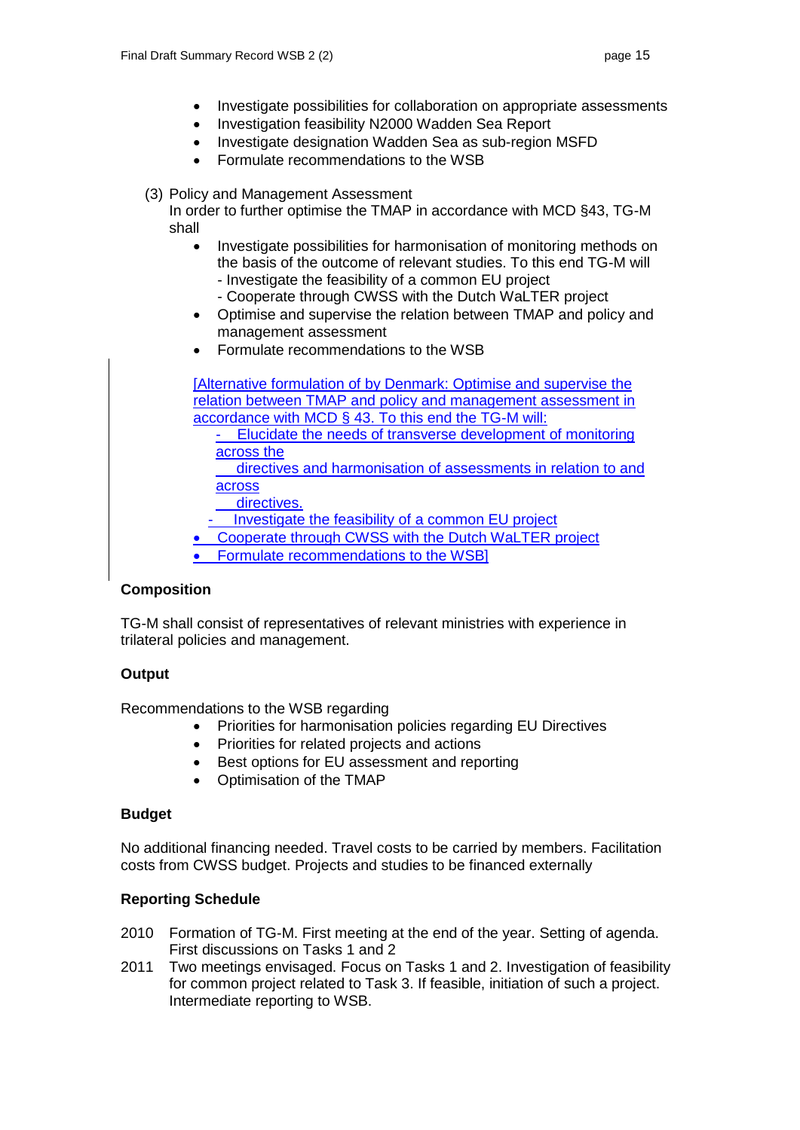- Investigate possibilities for collaboration on appropriate assessments
- Investigation feasibility N2000 Wadden Sea Report
- Investigate designation Wadden Sea as sub-region MSFD
- Formulate recommendations to the WSB
- (3) Policy and Management Assessment

In order to further optimise the TMAP in accordance with MCD §43, TG-M shall

- Investigate possibilities for harmonisation of monitoring methods on the basis of the outcome of relevant studies. To this end TG-M will - Investigate the feasibility of a common EU project
	- Cooperate through CWSS with the Dutch WaLTER project
- Optimise and supervise the relation between TMAP and policy and management assessment
- Formulate recommendations to the WSB

[Alternative formulation of by Denmark: Optimise and supervise the relation between TMAP and policy and management assessment in accordance with MCD § 43. To this end the TG-M will: - Elucidate the needs of transverse development of monitoring

across the

 directives and harmonisation of assessments in relation to and across

directives.

Investigate the feasibility of a common EU project

Cooperate through CWSS with the Dutch WaLTER project

Formulate recommendations to the WSB]

## **Composition**

TG-M shall consist of representatives of relevant ministries with experience in trilateral policies and management.

## **Output**

Recommendations to the WSB regarding

- Priorities for harmonisation policies regarding EU Directives
- Priorities for related projects and actions
- Best options for EU assessment and reporting
- Optimisation of the TMAP

### **Budget**

No additional financing needed. Travel costs to be carried by members. Facilitation costs from CWSS budget. Projects and studies to be financed externally

### **Reporting Schedule**

- 2010 Formation of TG-M. First meeting at the end of the year. Setting of agenda. First discussions on Tasks 1 and 2
- 2011 Two meetings envisaged. Focus on Tasks 1 and 2. Investigation of feasibility for common project related to Task 3. If feasible, initiation of such a project. Intermediate reporting to WSB.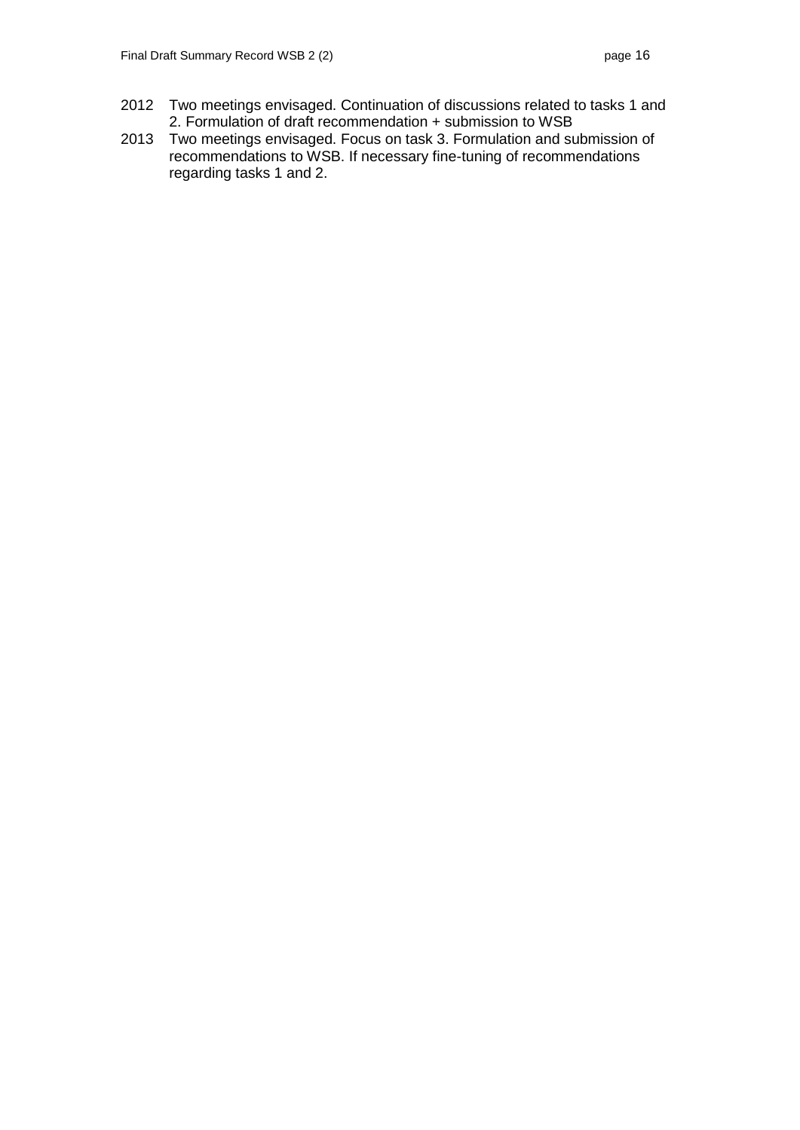- 2012 Two meetings envisaged. Continuation of discussions related to tasks 1 and 2. Formulation of draft recommendation + submission to WSB
- 2013 Two meetings envisaged. Focus on task 3. Formulation and submission of recommendations to WSB. If necessary fine-tuning of recommendations regarding tasks 1 and 2.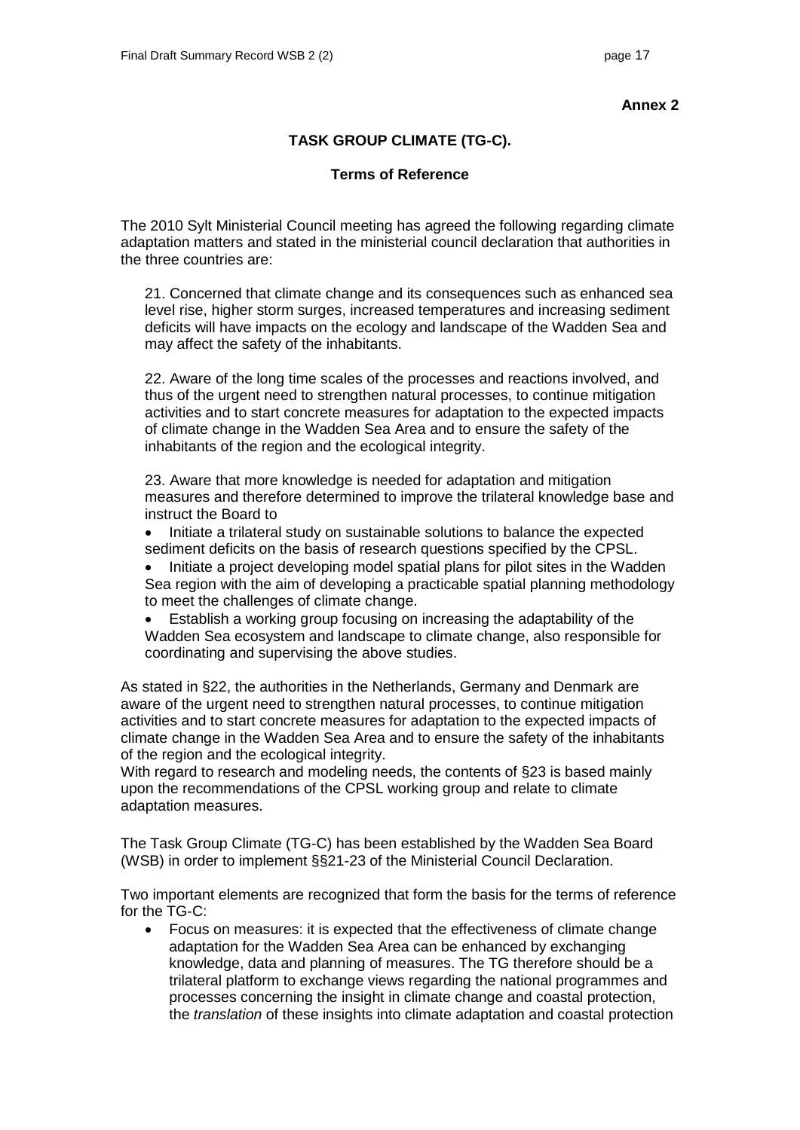## **TASK GROUP CLIMATE (TG-C).**

### **Terms of Reference**

The 2010 Sylt Ministerial Council meeting has agreed the following regarding climate adaptation matters and stated in the ministerial council declaration that authorities in the three countries are:

21. Concerned that climate change and its consequences such as enhanced sea level rise, higher storm surges, increased temperatures and increasing sediment deficits will have impacts on the ecology and landscape of the Wadden Sea and may affect the safety of the inhabitants.

22. Aware of the long time scales of the processes and reactions involved, and thus of the urgent need to strengthen natural processes, to continue mitigation activities and to start concrete measures for adaptation to the expected impacts of climate change in the Wadden Sea Area and to ensure the safety of the inhabitants of the region and the ecological integrity.

23. Aware that more knowledge is needed for adaptation and mitigation measures and therefore determined to improve the trilateral knowledge base and instruct the Board to

- Initiate a trilateral study on sustainable solutions to balance the expected sediment deficits on the basis of research questions specified by the CPSL.
- Initiate a project developing model spatial plans for pilot sites in the Wadden Sea region with the aim of developing a practicable spatial planning methodology to meet the challenges of climate change.
- Establish a working group focusing on increasing the adaptability of the Wadden Sea ecosystem and landscape to climate change, also responsible for coordinating and supervising the above studies.

As stated in §22, the authorities in the Netherlands, Germany and Denmark are aware of the urgent need to strengthen natural processes, to continue mitigation activities and to start concrete measures for adaptation to the expected impacts of climate change in the Wadden Sea Area and to ensure the safety of the inhabitants of the region and the ecological integrity.

With regard to research and modeling needs, the contents of §23 is based mainly upon the recommendations of the CPSL working group and relate to climate adaptation measures.

The Task Group Climate (TG-C) has been established by the Wadden Sea Board (WSB) in order to implement §§21-23 of the Ministerial Council Declaration.

Two important elements are recognized that form the basis for the terms of reference for the TG-C:

 Focus on measures: it is expected that the effectiveness of climate change adaptation for the Wadden Sea Area can be enhanced by exchanging knowledge, data and planning of measures. The TG therefore should be a trilateral platform to exchange views regarding the national programmes and processes concerning the insight in climate change and coastal protection, the *translation* of these insights into climate adaptation and coastal protection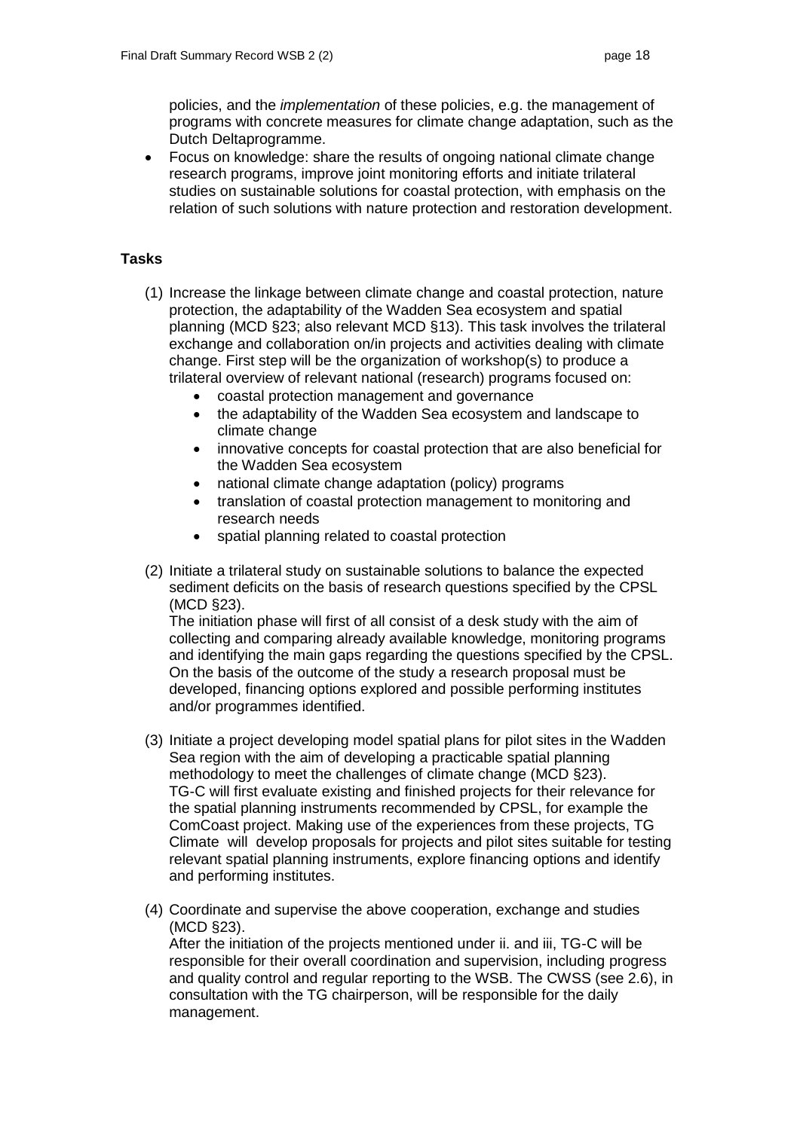policies, and the *implementation* of these policies, e.g. the management of programs with concrete measures for climate change adaptation, such as the Dutch Deltaprogramme.

 Focus on knowledge: share the results of ongoing national climate change research programs, improve joint monitoring efforts and initiate trilateral studies on sustainable solutions for coastal protection, with emphasis on the relation of such solutions with nature protection and restoration development.

## **Tasks**

- (1) Increase the linkage between climate change and coastal protection, nature protection, the adaptability of the Wadden Sea ecosystem and spatial planning (MCD §23; also relevant MCD §13). This task involves the trilateral exchange and collaboration on/in projects and activities dealing with climate change. First step will be the organization of workshop(s) to produce a trilateral overview of relevant national (research) programs focused on:
	- coastal protection management and governance<br>• the adaptability of the Wadden Sea ecosystem are
	- the adaptability of the Wadden Sea ecosystem and landscape to climate change
	- innovative concepts for coastal protection that are also beneficial for the Wadden Sea ecosystem
	- national climate change adaptation (policy) programs
	- translation of coastal protection management to monitoring and research needs
	- spatial planning related to coastal protection
- (2) Initiate a trilateral study on sustainable solutions to balance the expected sediment deficits on the basis of research questions specified by the CPSL (MCD §23).

The initiation phase will first of all consist of a desk study with the aim of collecting and comparing already available knowledge, monitoring programs and identifying the main gaps regarding the questions specified by the CPSL. On the basis of the outcome of the study a research proposal must be developed, financing options explored and possible performing institutes and/or programmes identified.

- (3) Initiate a project developing model spatial plans for pilot sites in the Wadden Sea region with the aim of developing a practicable spatial planning methodology to meet the challenges of climate change (MCD §23). TG-C will first evaluate existing and finished projects for their relevance for the spatial planning instruments recommended by CPSL, for example the ComCoast project. Making use of the experiences from these projects, TG Climate will develop proposals for projects and pilot sites suitable for testing relevant spatial planning instruments, explore financing options and identify and performing institutes.
- (4) Coordinate and supervise the above cooperation, exchange and studies (MCD §23).

After the initiation of the projects mentioned under ii. and iii, TG-C will be responsible for their overall coordination and supervision, including progress and quality control and regular reporting to the WSB. The CWSS (see 2.6), in consultation with the TG chairperson, will be responsible for the daily management.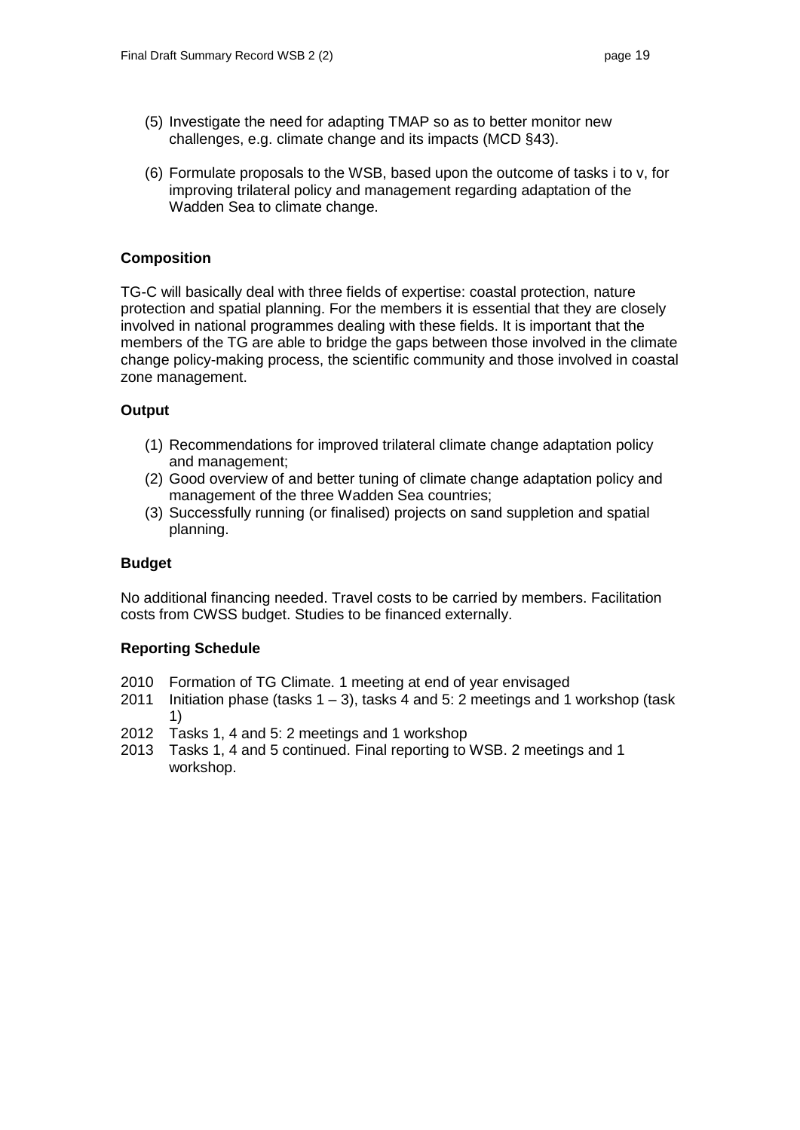- (5) Investigate the need for adapting TMAP so as to better monitor new challenges, e.g. climate change and its impacts (MCD §43).
- (6) Formulate proposals to the WSB, based upon the outcome of tasks i to v, for improving trilateral policy and management regarding adaptation of the Wadden Sea to climate change.

## **Composition**

TG-C will basically deal with three fields of expertise: coastal protection, nature protection and spatial planning. For the members it is essential that they are closely involved in national programmes dealing with these fields. It is important that the members of the TG are able to bridge the gaps between those involved in the climate change policy-making process, the scientific community and those involved in coastal zone management.

## **Output**

- (1) Recommendations for improved trilateral climate change adaptation policy and management;
- (2) Good overview of and better tuning of climate change adaptation policy and management of the three Wadden Sea countries;
- (3) Successfully running (or finalised) projects on sand suppletion and spatial planning.

### **Budget**

No additional financing needed. Travel costs to be carried by members. Facilitation costs from CWSS budget. Studies to be financed externally.

## **Reporting Schedule**

- 2010 Formation of TG Climate. 1 meeting at end of year envisaged
- 2011 Initiation phase (tasks  $1 3$ ), tasks 4 and 5: 2 meetings and 1 workshop (task 1)
- 2012 Tasks 1, 4 and 5: 2 meetings and 1 workshop
- 2013 Tasks 1, 4 and 5 continued. Final reporting to WSB. 2 meetings and 1 workshop.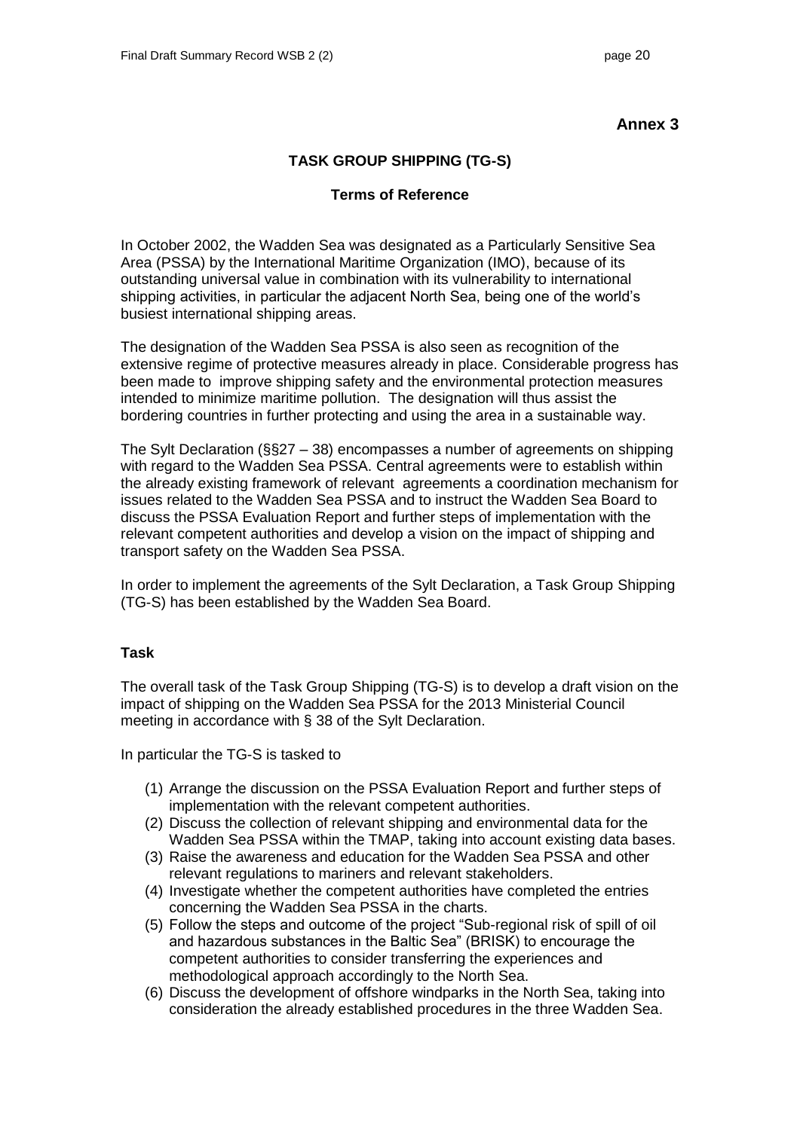# **TASK GROUP SHIPPING (TG-S)**

## **Terms of Reference**

In October 2002, the Wadden Sea was designated as a Particularly Sensitive Sea Area (PSSA) by the International Maritime Organization (IMO), because of its outstanding universal value in combination with its vulnerability to international shipping activities, in particular the adjacent North Sea, being one of the world's busiest international shipping areas.

The designation of the Wadden Sea PSSA is also seen as recognition of the extensive regime of protective measures already in place. Considerable progress has been made to improve shipping safety and the environmental protection measures intended to minimize maritime pollution. The designation will thus assist the bordering countries in further protecting and using the area in a sustainable way.

The Sylt Declaration (§§27 – 38) encompasses a number of agreements on shipping with regard to the Wadden Sea PSSA. Central agreements were to establish within the already existing framework of relevant agreements a coordination mechanism for issues related to the Wadden Sea PSSA and to instruct the Wadden Sea Board to discuss the PSSA Evaluation Report and further steps of implementation with the relevant competent authorities and develop a vision on the impact of shipping and transport safety on the Wadden Sea PSSA.

In order to implement the agreements of the Sylt Declaration, a Task Group Shipping (TG-S) has been established by the Wadden Sea Board.

## **Task**

The overall task of the Task Group Shipping (TG-S) is to develop a draft vision on the impact of shipping on the Wadden Sea PSSA for the 2013 Ministerial Council meeting in accordance with § 38 of the Sylt Declaration.

In particular the TG-S is tasked to

- (1) Arrange the discussion on the PSSA Evaluation Report and further steps of implementation with the relevant competent authorities.
- (2) Discuss the collection of relevant shipping and environmental data for the Wadden Sea PSSA within the TMAP, taking into account existing data bases.
- (3) Raise the awareness and education for the Wadden Sea PSSA and other relevant regulations to mariners and relevant stakeholders.
- (4) Investigate whether the competent authorities have completed the entries concerning the Wadden Sea PSSA in the charts.
- (5) Follow the steps and outcome of the project "Sub-regional risk of spill of oil and hazardous substances in the Baltic Sea" (BRISK) to encourage the competent authorities to consider transferring the experiences and methodological approach accordingly to the North Sea.
- (6) Discuss the development of offshore windparks in the North Sea, taking into consideration the already established procedures in the three Wadden Sea.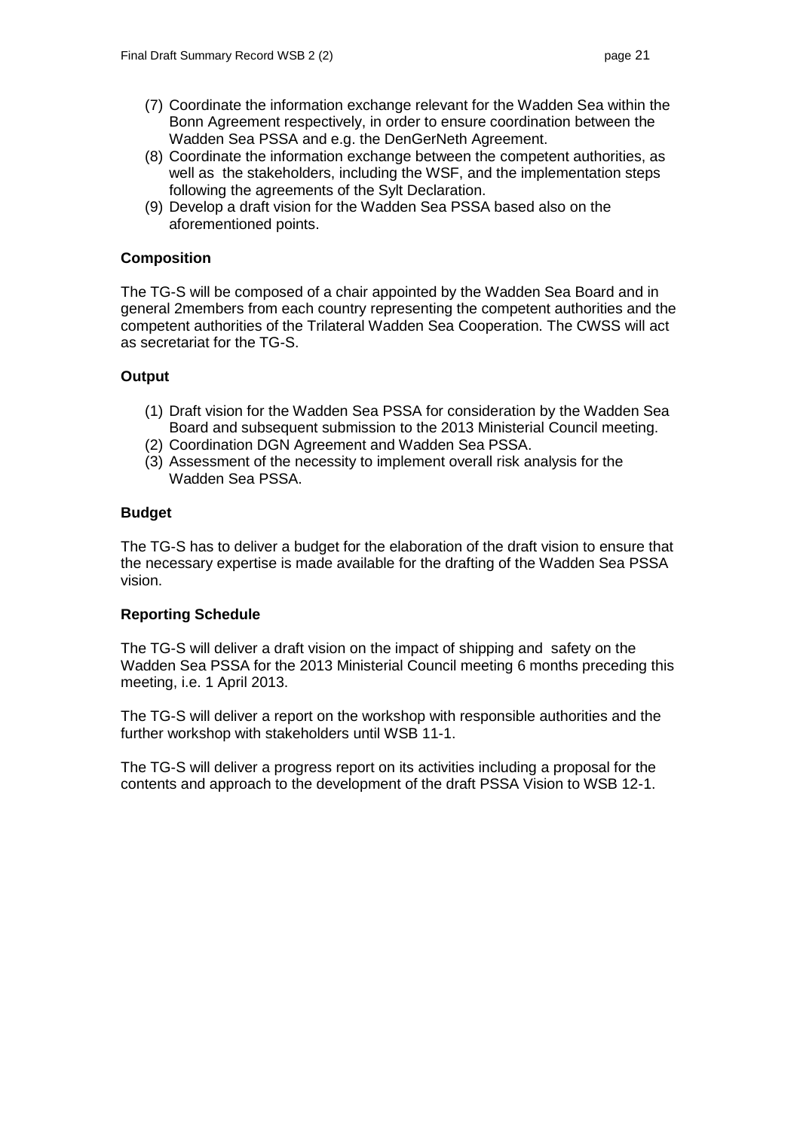- (7) Coordinate the information exchange relevant for the Wadden Sea within the Bonn Agreement respectively, in order to ensure coordination between the Wadden Sea PSSA and e.g. the DenGerNeth Agreement.
- (8) Coordinate the information exchange between the competent authorities, as well as the stakeholders, including the WSF, and the implementation steps following the agreements of the Sylt Declaration.
- (9) Develop a draft vision for the Wadden Sea PSSA based also on the aforementioned points.

## **Composition**

The TG-S will be composed of a chair appointed by the Wadden Sea Board and in general 2members from each country representing the competent authorities and the competent authorities of the Trilateral Wadden Sea Cooperation. The CWSS will act as secretariat for the TG-S.

## **Output**

- (1) Draft vision for the Wadden Sea PSSA for consideration by the Wadden Sea Board and subsequent submission to the 2013 Ministerial Council meeting.
- (2) Coordination DGN Agreement and Wadden Sea PSSA.
- (3) Assessment of the necessity to implement overall risk analysis for the Wadden Sea PSSA.

### **Budget**

The TG-S has to deliver a budget for the elaboration of the draft vision to ensure that the necessary expertise is made available for the drafting of the Wadden Sea PSSA vision.

### **Reporting Schedule**

The TG-S will deliver a draft vision on the impact of shipping and safety on the Wadden Sea PSSA for the 2013 Ministerial Council meeting 6 months preceding this meeting, i.e. 1 April 2013.

The TG-S will deliver a report on the workshop with responsible authorities and the further workshop with stakeholders until WSB 11-1.

The TG-S will deliver a progress report on its activities including a proposal for the contents and approach to the development of the draft PSSA Vision to WSB 12-1.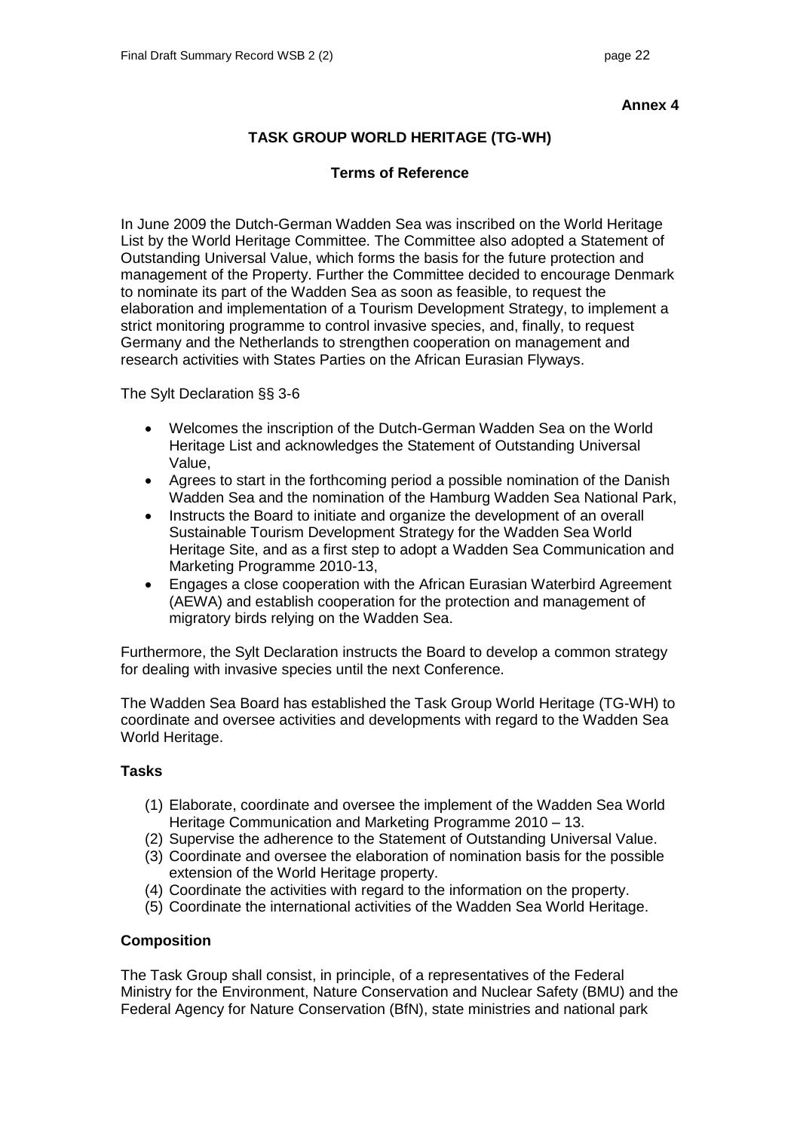## **TASK GROUP WORLD HERITAGE (TG-WH)**

## **Terms of Reference**

In June 2009 the Dutch-German Wadden Sea was inscribed on the World Heritage List by the World Heritage Committee. The Committee also adopted a Statement of Outstanding Universal Value, which forms the basis for the future protection and management of the Property. Further the Committee decided to encourage Denmark to nominate its part of the Wadden Sea as soon as feasible, to request the elaboration and implementation of a Tourism Development Strategy, to implement a strict monitoring programme to control invasive species, and, finally, to request Germany and the Netherlands to strengthen cooperation on management and research activities with States Parties on the African Eurasian Flyways.

The Sylt Declaration §§ 3-6

- Welcomes the inscription of the Dutch-German Wadden Sea on the World Heritage List and acknowledges the Statement of Outstanding Universal Value,
- Agrees to start in the forthcoming period a possible nomination of the Danish Wadden Sea and the nomination of the Hamburg Wadden Sea National Park,
- Instructs the Board to initiate and organize the development of an overall Sustainable Tourism Development Strategy for the Wadden Sea World Heritage Site, and as a first step to adopt a Wadden Sea Communication and Marketing Programme 2010-13,
- Engages a close cooperation with the African Eurasian Waterbird Agreement (AEWA) and establish cooperation for the protection and management of migratory birds relying on the Wadden Sea.

Furthermore, the Sylt Declaration instructs the Board to develop a common strategy for dealing with invasive species until the next Conference.

The Wadden Sea Board has established the Task Group World Heritage (TG-WH) to coordinate and oversee activities and developments with regard to the Wadden Sea World Heritage.

## **Tasks**

- (1) Elaborate, coordinate and oversee the implement of the Wadden Sea World Heritage Communication and Marketing Programme 2010 – 13.
- (2) Supervise the adherence to the Statement of Outstanding Universal Value.
- (3) Coordinate and oversee the elaboration of nomination basis for the possible extension of the World Heritage property.
- (4) Coordinate the activities with regard to the information on the property.
- (5) Coordinate the international activities of the Wadden Sea World Heritage.

## **Composition**

The Task Group shall consist, in principle, of a representatives of the Federal Ministry for the Environment, Nature Conservation and Nuclear Safety (BMU) and the Federal Agency for Nature Conservation (BfN), state ministries and national park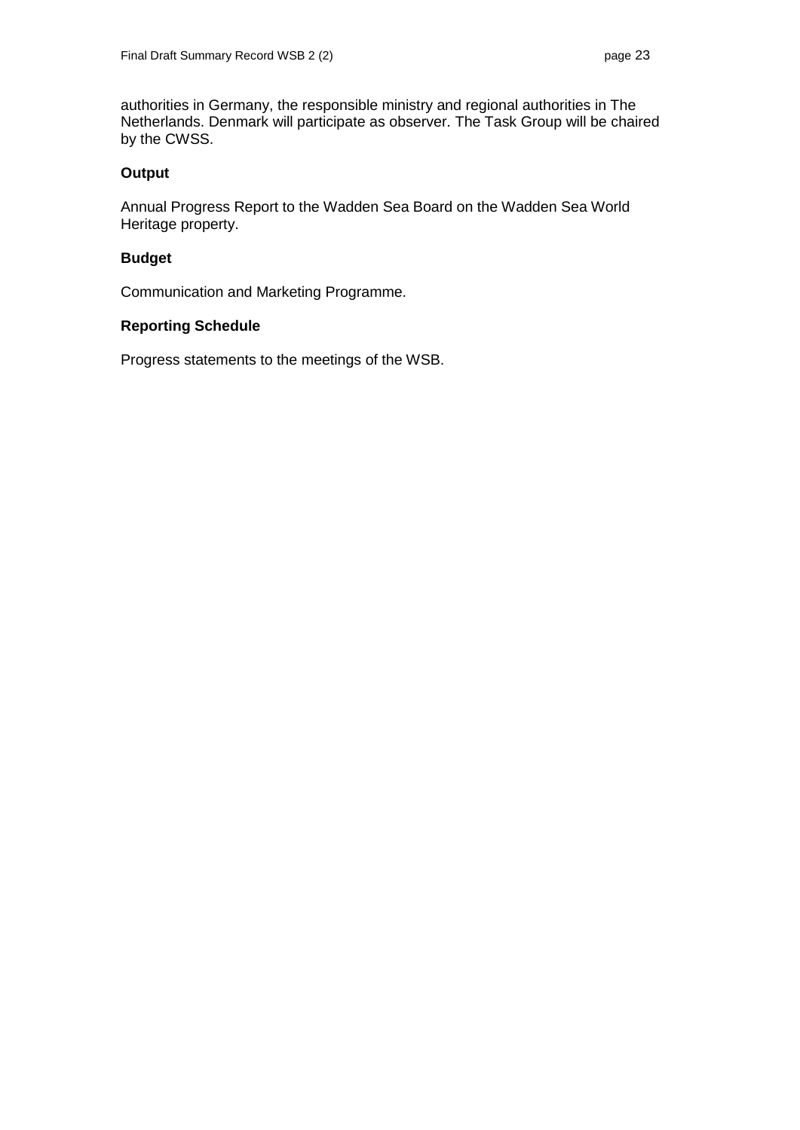authorities in Germany, the responsible ministry and regional authorities in The Netherlands. Denmark will participate as observer. The Task Group will be chaired by the CWSS.

## **Output**

Annual Progress Report to the Wadden Sea Board on the Wadden Sea World Heritage property.

# **Budget**

Communication and Marketing Programme.

## **Reporting Schedule**

Progress statements to the meetings of the WSB.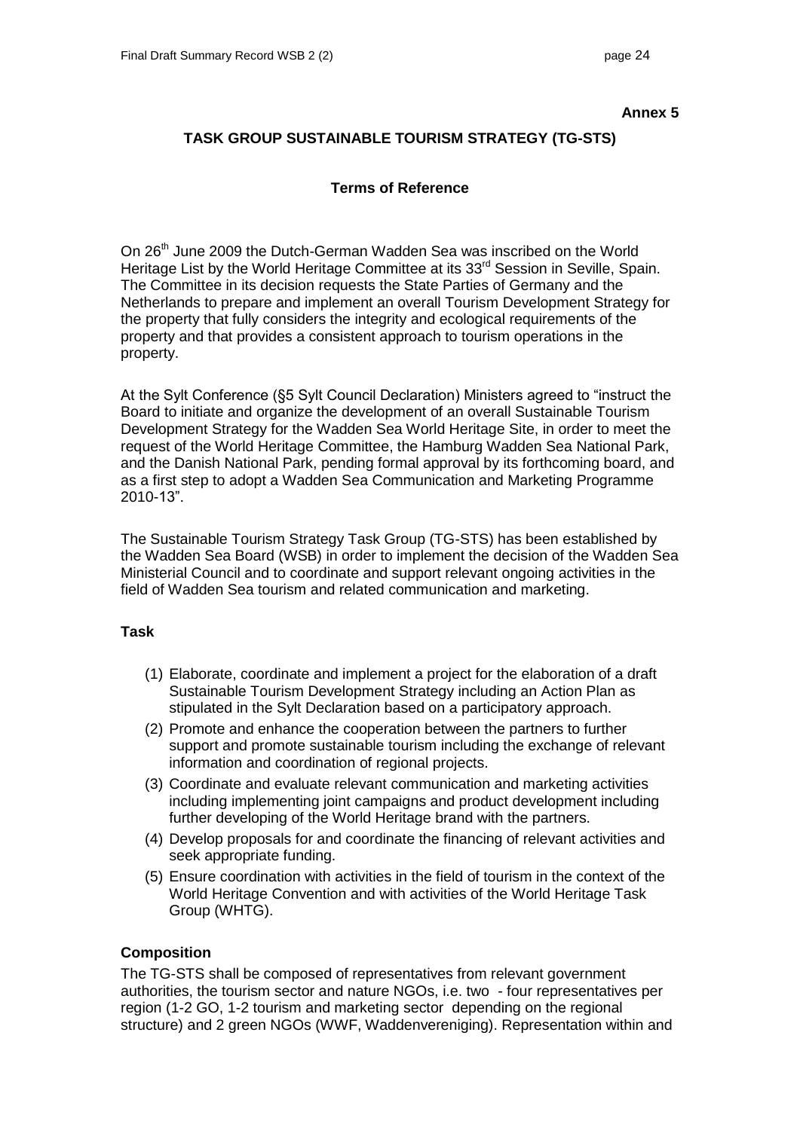# **TASK GROUP SUSTAINABLE TOURISM STRATEGY (TG-STS)**

## **Terms of Reference**

On 26<sup>th</sup> June 2009 the Dutch-German Wadden Sea was inscribed on the World Heritage List by the World Heritage Committee at its 33<sup>rd</sup> Session in Seville, Spain. The Committee in its decision requests the State Parties of Germany and the Netherlands to prepare and implement an overall Tourism Development Strategy for the property that fully considers the integrity and ecological requirements of the property and that provides a consistent approach to tourism operations in the property.

At the Sylt Conference (§5 Sylt Council Declaration) Ministers agreed to "instruct the Board to initiate and organize the development of an overall Sustainable Tourism Development Strategy for the Wadden Sea World Heritage Site, in order to meet the request of the World Heritage Committee, the Hamburg Wadden Sea National Park, and the Danish National Park, pending formal approval by its forthcoming board, and as a first step to adopt a Wadden Sea Communication and Marketing Programme 2010-13".

The Sustainable Tourism Strategy Task Group (TG-STS) has been established by the Wadden Sea Board (WSB) in order to implement the decision of the Wadden Sea Ministerial Council and to coordinate and support relevant ongoing activities in the field of Wadden Sea tourism and related communication and marketing.

### **Task**

- (1) Elaborate, coordinate and implement a project for the elaboration of a draft Sustainable Tourism Development Strategy including an Action Plan as stipulated in the Sylt Declaration based on a participatory approach.
- (2) Promote and enhance the cooperation between the partners to further support and promote sustainable tourism including the exchange of relevant information and coordination of regional projects.
- (3) Coordinate and evaluate relevant communication and marketing activities including implementing joint campaigns and product development including further developing of the World Heritage brand with the partners.
- (4) Develop proposals for and coordinate the financing of relevant activities and seek appropriate funding.
- (5) Ensure coordination with activities in the field of tourism in the context of the World Heritage Convention and with activities of the World Heritage Task Group (WHTG).

## **Composition**

The TG-STS shall be composed of representatives from relevant government authorities, the tourism sector and nature NGOs, i.e. two - four representatives per region (1-2 GO, 1-2 tourism and marketing sector depending on the regional structure) and 2 green NGOs (WWF, Waddenvereniging). Representation within and